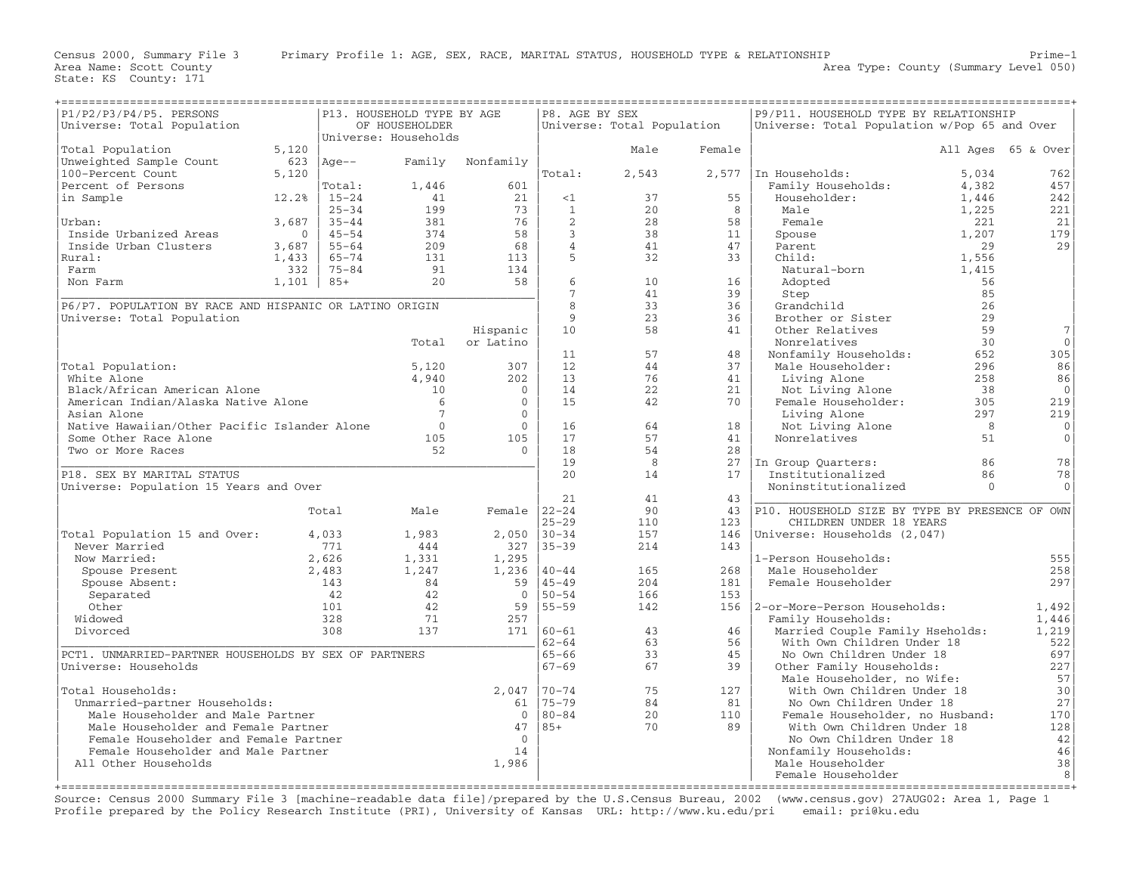Area Name: Scott County<br>State: KS County: 171

| P1/P2/P3/P4/P5. PERSONS<br>P13. HOUSEHOLD TYPE BY AGE   |         |           |                      |                  | P8. AGE BY SEX  | ===============            |                                 | P9/P11. HOUSEHOLD TYPE BY RELATIONSHIP         |          |                    |
|---------------------------------------------------------|---------|-----------|----------------------|------------------|-----------------|----------------------------|---------------------------------|------------------------------------------------|----------|--------------------|
| Universe: Total Population                              |         |           | OF HOUSEHOLDER       |                  |                 | Universe: Total Population |                                 | Universe: Total Population w/Pop 65 and Over   |          |                    |
|                                                         |         |           | Universe: Households |                  |                 |                            |                                 |                                                |          |                    |
| Total Population                                        | 5,120   |           |                      |                  |                 | Male                       | Female                          |                                                |          | All Ages 65 & Over |
| Unweighted Sample Count                                 | 623     | Age – –   |                      | Family Nonfamily |                 |                            |                                 |                                                |          |                    |
| 100-Percent Count                                       | 5,120   |           |                      |                  | Total:          | 2,543                      | 2,577                           | In Households:                                 | 5,034    | 762                |
| Percent of Persons                                      |         | Total:    | 1,446                | 601              |                 |                            |                                 | Family Households:                             | 4,382    | 457                |
| in Sample                                               | 12.2%   | $15 - 24$ | 41                   | 21               | <1              | 37                         | 55                              | Householder:                                   | 1,446    | 242                |
|                                                         |         | $25 - 34$ | 199                  | 73               | 1               | 20                         | 8                               | Male                                           | 1,225    | 221                |
| Urban:                                                  | 3,687   | $35 - 44$ | 381                  | 76               | 2               | 28                         | 58                              | Female                                         | 221      | 21                 |
| Inside Urbanized Areas                                  | $\circ$ | $45 - 54$ | 374                  | 58               | $\overline{3}$  | 38                         | 11                              | Spouse                                         | 1,207    | 179                |
| Inside Urban Clusters                                   | 3,687   | $55 - 64$ | 209                  | 68               | $\overline{4}$  | 41                         | 47                              | Parent                                         | 29       | 29                 |
| Rural:                                                  | 1,433   | $65 - 74$ | 131                  | 113              | 5               | 32                         | 33                              | Child:                                         | 1,556    |                    |
| Farm                                                    | 332     | $75 - 84$ | 91                   | 134              |                 |                            |                                 | Natural-born                                   | 1,415    |                    |
| Non Farm                                                | 1,101   | $85+$     | 20                   | 58               | 6               | 10                         | 16                              | Adopted                                        | 56       |                    |
|                                                         |         |           |                      |                  | $7\phantom{.0}$ | 41                         | 39                              | Step                                           | 85       |                    |
| P6/P7. POPULATION BY RACE AND HISPANIC OR LATINO ORIGIN |         |           |                      |                  | 8               | 33                         | 36                              | Grandchild                                     | 26       |                    |
| Universe: Total Population                              |         |           |                      |                  | $\overline{9}$  | 23                         | 36                              | Brother or Sister                              | 29       |                    |
|                                                         |         |           |                      | Hispanic         | 10              | 58                         | 41                              | Other Relatives                                | 59       | $\overline{7}$     |
|                                                         |         |           | Total                | or Latino        |                 |                            |                                 | Nonrelatives                                   | 30       | $\mathbf 0$        |
|                                                         |         |           |                      |                  | 11              | 57                         | 48                              | Nonfamily Households:                          | 652      | 305                |
| Total Population:                                       |         |           | 5,120                | 307              | 12              | 44                         | 37                              | Male Householder:                              | 296      | 86                 |
| White Alone                                             |         |           | 4,940                | 202              | 13              | 76                         | 41                              | Living Alone                                   | 258      | 86                 |
| Black/African American Alone                            |         |           | 10 <sup>°</sup>      | $\mathbf{0}$     | 14              | 22                         | 21                              | Not Living Alone                               | 38       | $\mathbf 0$        |
| American Indian/Alaska Native Alone                     |         |           | 6                    | $\mathbf{0}$     | 15              | 42                         | 70                              | Female Householder:                            | 305      | 219                |
| Asian Alone                                             |         |           | $7\phantom{.0}$      | $\Omega$         |                 |                            |                                 | Living Alone                                   | 297      | 219                |
| Native Hawaiian/Other Pacific Islander Alone            |         |           | $\Omega$             | $\overline{0}$   | 16              | 64                         | 18                              |                                                | 8        | $\mathbf{0}$       |
| Some Other Race Alone                                   |         |           | 105                  | 105              | 17              | 57                         | 41                              | Not Living Alone<br>Nonrelatives               | 51       | $\mathsf O$        |
|                                                         |         |           | 52                   | $\Omega$         | 18              | 54                         | 28                              |                                                |          |                    |
| Two or More Races                                       |         |           |                      |                  |                 |                            |                                 |                                                |          |                    |
|                                                         |         |           |                      |                  | 19<br>2.0       | 8                          | 27                              | In Group Quarters:                             | 86       | 78                 |
| P18. SEX BY MARITAL STATUS                              |         |           |                      |                  |                 | 14                         | 17                              | Institutionalized                              | 86       | 78                 |
| Universe: Population 15 Years and Over                  |         |           |                      |                  |                 |                            |                                 | Noninstitutionalized                           | $\Omega$ | $\mathbf{0}$       |
|                                                         |         |           |                      |                  | 21              | 41                         | 43                              |                                                |          |                    |
|                                                         |         | Total     | Male                 | Female $ 22-24 $ |                 | 90                         | 43                              | P10. HOUSEHOLD SIZE BY TYPE BY PRESENCE OF OWN |          |                    |
|                                                         |         |           |                      |                  | $25 - 29$       | 110                        | 123                             | CHILDREN UNDER 18 YEARS                        |          |                    |
| Total Population 15 and Over:                           |         | 4,033     | 1,983                | $2,050$   30-34  |                 | 157                        |                                 | 146   Universe: Households (2,047)             |          |                    |
| Never Married                                           |         | 771       | 444                  | 327              | $35 - 39$       | 214                        | 143                             |                                                |          |                    |
| Now Married:                                            |         | 2,626     | 1,331                | 1,295            |                 |                            |                                 | 1-Person Households:                           |          | 555                |
| Spouse Present                                          |         | 2,483     | 1,247                | 1,236            | $40 - 44$       | 165                        | 268                             | Male Householder                               |          | 258                |
| Spouse Absent:                                          |         | 143       | 84                   | 59               | 45-49           | 204                        | 181                             | Female Householder                             |          | 297                |
| Separated                                               |         | 42        | 42                   | $\overline{0}$   | $ 50 - 54 $     | 166                        | 153                             |                                                |          |                    |
| Other                                                   |         | 101       | 42                   |                  | 59 55-59        | 142                        |                                 | 156   2-or-More-Person Households:             |          | 1,492              |
| Widowed                                                 |         | 328       | 71                   | 257              |                 |                            |                                 | Family Households:                             |          | 1,446              |
| Divorced                                                |         | 308       | 137                  |                  | $171$ $ 60-61$  | 43                         | 46                              | Married Couple Family Hseholds:                |          | 1,219              |
|                                                         |         |           |                      |                  | $62 - 64$       | 63                         | 56                              | With Own Children Under 18                     |          | 522                |
| PCT1. UNMARRIED-PARTNER HOUSEHOLDS BY SEX OF PARTNERS   |         |           |                      |                  | $65 - 66$       | 33                         | 45                              | No Own Children Under 18                       |          | 697                |
| Universe: Households                                    |         |           |                      |                  | $67 - 69$       | 67                         | 39                              | Other Family Households:                       |          | 227                |
|                                                         |         |           |                      |                  |                 |                            |                                 | Male Householder, no Wife:                     |          | 57                 |
| Total Households:                                       |         |           |                      | 2,047            | $170 - 74$      | 75                         | 127                             | With Own Children Under 18                     |          | 30                 |
| Unmarried-partner Households:                           |         |           |                      |                  | 61 75-79        | 84                         | 81                              | No Own Children Under 18                       |          | 27                 |
| Male Householder and Male Partner                       |         |           | $\mathbf{0}$         | $ 80 - 84 $      | 20              | 110                        | Female Householder, no Husband: |                                                | 170      |                    |
| Male Householder and Female Partner                     |         |           |                      | 47               | 85+             | 70                         | 89                              | With Own Children Under 18                     |          | 128                |
| Female Householder and Female Partner                   |         |           |                      | $\Omega$         |                 |                            |                                 | No Own Children Under 18                       |          | 42                 |
| Female Householder and Male Partner                     |         |           |                      | 14               |                 |                            |                                 | Nonfamily Households:                          |          | 46                 |
| All Other Households                                    |         |           |                      | 1,986            |                 |                            |                                 | Male Householder                               |          | 38                 |
|                                                         |         |           |                      |                  |                 |                            |                                 | Female Householder                             |          | 8                  |

+===================================================================================================================================================+ Source: Census 2000 Summary File 3 [machine−readable data file]/prepared by the U.S.Census Bureau, 2002 (www.census.gov) 27AUG02: Area 1, Page 1 Profile prepared by the Policy Research Institute (PRI), University of Kansas URL: http://www.ku.edu/pri email: pri@ku.edu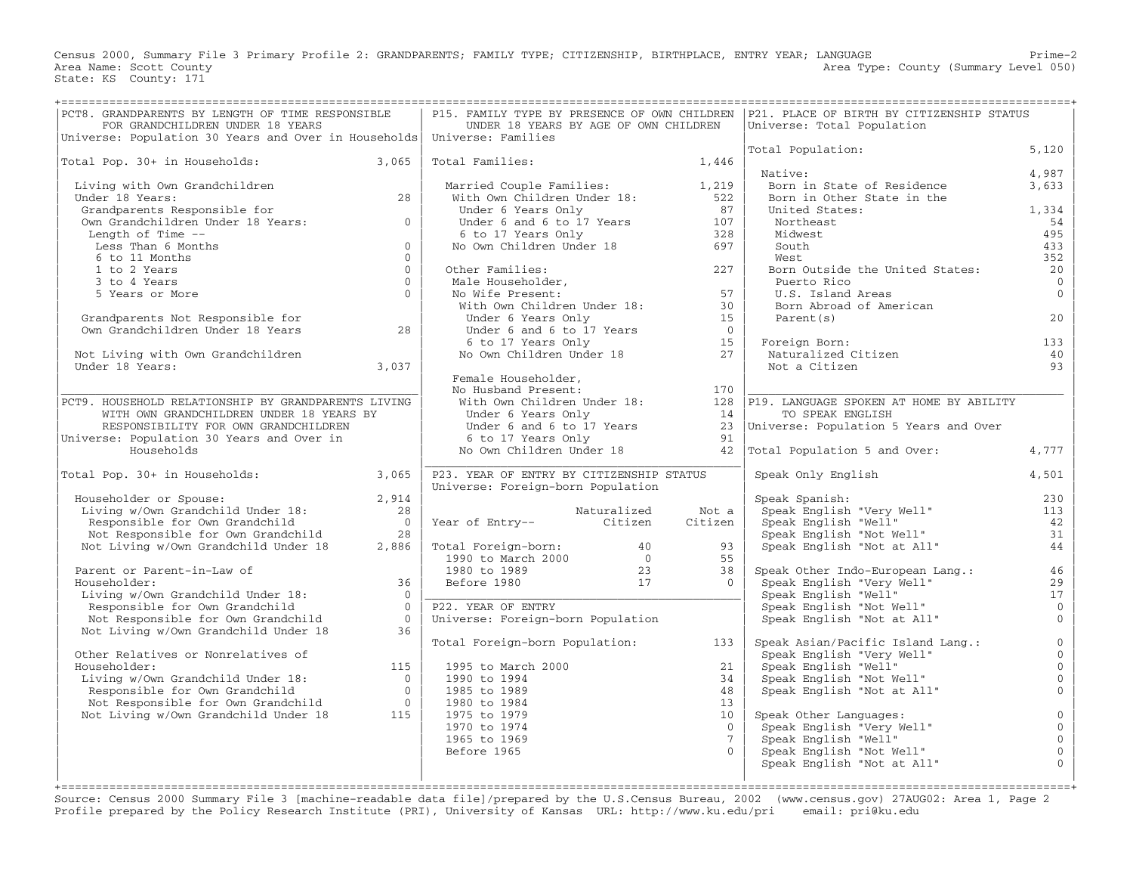Census 2000, Summary File 3 Primary Profile 2: GRANDPARENTS; FAMILY TYPE; CITIZENSHIP, BIRTHPLACE, ENTRY YEAR; LANGUAGE Prime−2 Area Type: County (Summary Level 050) Area Name: Scott County<br>State: KS County: 171

| PCT8. GRANDPARENTS BY LENGTH OF TIME RESPONSIBLE<br>FOR GRANDCHILDREN UNDER 18 YEARS<br>Universe: Population 30 Years and Over in Households Universe: Families                          |                | UNDER 18 YEARS BY AGE OF OWN CHILDREN                                                                                    |             |                         | P15. FAMILY TYPE BY PRESENCE OF OWN CHILDREN   P21. PLACE OF BIRTH BY CITIZENSHIP STATUS<br>Universe: Total Population                                                                                                                 |                                  |
|------------------------------------------------------------------------------------------------------------------------------------------------------------------------------------------|----------------|--------------------------------------------------------------------------------------------------------------------------|-------------|-------------------------|----------------------------------------------------------------------------------------------------------------------------------------------------------------------------------------------------------------------------------------|----------------------------------|
|                                                                                                                                                                                          |                |                                                                                                                          |             |                         | Total Population:                                                                                                                                                                                                                      | 5,120                            |
| Total Pop. 30+ in Households: 3,065                                                                                                                                                      |                | Total Families: 1,446                                                                                                    |             |                         | Native:                                                                                                                                                                                                                                | 4,987                            |
| Living with Own Grandchildren                                                                                                                                                            |                |                                                                                                                          |             |                         | Born in State of Residence                                                                                                                                                                                                             | 3,633                            |
| Under 18 Years:                                                                                                                                                                          | 28             | Married Couple Families: 1,219<br>With Own Children Under 18: 522                                                        |             |                         | Born in Other State in the                                                                                                                                                                                                             |                                  |
| Grandparents Responsible for                                                                                                                                                             |                |                                                                                                                          |             |                         | United States:                                                                                                                                                                                                                         | 1,334                            |
| Own Grandchildren Under 18 Years:                                                                                                                                                        | $\Omega$       | Under 6 Years Only<br>Under 6 and 6 to 17 Years<br>6 to 17 Years Only<br>No Own Children Under 18<br>697                 |             |                         | Northeast                                                                                                                                                                                                                              | 54                               |
| Length of Time --                                                                                                                                                                        |                |                                                                                                                          |             |                         | Midwest                                                                                                                                                                                                                                | 495                              |
| Less Than 6 Months                                                                                                                                                                       | $\mathbf{0}$   |                                                                                                                          |             |                         | South                                                                                                                                                                                                                                  | 433                              |
| 6 to 11 Months                                                                                                                                                                           | $\Omega$       |                                                                                                                          |             |                         | West                                                                                                                                                                                                                                   | 352                              |
| 1 to 2 Years                                                                                                                                                                             | $\mathbf{0}$   | Other Families:<br>Other Families: 227<br>Male Householder, 227<br>No Wife Present: 57<br>With Own Children Under 18: 30 |             |                         | Born Outside the United States:                                                                                                                                                                                                        | 20                               |
| 3 to 4 Years                                                                                                                                                                             | $\Omega$       |                                                                                                                          |             |                         | Puerto Rico                                                                                                                                                                                                                            | $\overline{0}$                   |
| 5 Years or More                                                                                                                                                                          | $\Omega$       |                                                                                                                          |             |                         | U.S. Island Areas                                                                                                                                                                                                                      | $\overline{0}$                   |
|                                                                                                                                                                                          |                |                                                                                                                          |             |                         | Born Abroad of American                                                                                                                                                                                                                |                                  |
| Grandparents Not Responsible for<br>Own Grandchildren Under 18 Years                                                                                                                     | 28             | Under 6 Years Only                                                                                                       |             | 15<br>$\bigcirc$        | Parent (s)                                                                                                                                                                                                                             | 20                               |
|                                                                                                                                                                                          |                |                                                                                                                          |             | 15                      | Foreign Born:                                                                                                                                                                                                                          | 133                              |
| Not Living with Own Grandchildren                                                                                                                                                        |                | Under 6 Years Only<br>Under 6 and 6 to 17 Years<br>6 to 17 Years Only<br>No Own Children Under 18                        |             | 27                      | Foreign Born:<br>Naturalized Citizen                                                                                                                                                                                                   | 40                               |
| Under 18 Years:                                                                                                                                                                          | 3,037          |                                                                                                                          |             |                         | Not a Citizen                                                                                                                                                                                                                          | 93                               |
|                                                                                                                                                                                          |                | Female Householder,                                                                                                      |             |                         |                                                                                                                                                                                                                                        |                                  |
|                                                                                                                                                                                          |                | No Husband Present:                                                                                                      |             |                         |                                                                                                                                                                                                                                        |                                  |
| PCT9. HOUSEHOLD RELATIONSHIP BY GRANDPARENTS LIVING                                                                                                                                      |                |                                                                                                                          |             |                         | Female Householder,<br>No Husband Present: 170<br>With Own Children Under 18: 128 P19. LANGUAGE SPOKEN AT HOME BY ABILITY<br>Under 6 Years Only 14 TO SPEAK ENGLISH<br>Under 6 and 6 to 17 Years 23 Universe: Population 5 Years and O |                                  |
| WITH OWN GRANDCHILDREN UNDER 18 YEARS BY                                                                                                                                                 |                |                                                                                                                          |             |                         |                                                                                                                                                                                                                                        |                                  |
| RESPONSIBILITY FOR OWN GRANDCHILDREN                                                                                                                                                     |                |                                                                                                                          |             |                         |                                                                                                                                                                                                                                        |                                  |
| Universe: Population 30 Years and Over in                                                                                                                                                |                | 6 to 17 Years Only                                                                                                       |             | 91                      |                                                                                                                                                                                                                                        |                                  |
| Households                                                                                                                                                                               |                | No Own Children Under 18                                                                                                 |             |                         | 42 Total Population 5 and Over:                                                                                                                                                                                                        | 4,777                            |
| Total Pop. 30+ in Households:                                                                                                                                                            | 3,065          | P23. YEAR OF ENTRY BY CITIZENSHIP STATUS                                                                                 |             |                         | Speak Only English                                                                                                                                                                                                                     | 4,501                            |
|                                                                                                                                                                                          |                | Universe: Foreign-born Population                                                                                        |             |                         |                                                                                                                                                                                                                                        |                                  |
| Householder or Spouse:<br>Living w/Own Grandchild Under 18:<br>Householder or Spouse:                                                                                                    | 2,914          |                                                                                                                          |             |                         | Speak Spanish:                                                                                                                                                                                                                         | 230                              |
|                                                                                                                                                                                          | 28             |                                                                                                                          | Naturalized | Not a                   |                                                                                                                                                                                                                                        | 113                              |
| Responsible for Own Grandchild                                                                                                                                                           | $\overline{0}$ | waturalized<br>Year of Entry-- Citizen                                                                                   |             | Citizen                 |                                                                                                                                                                                                                                        | 42                               |
| Not Responsible for Own Grandchild                                                                                                                                                       | 28             |                                                                                                                          |             |                         |                                                                                                                                                                                                                                        | 31                               |
| Not Living w/Own Grandchild Under 18                                                                                                                                                     | 2,886          | Total Foreign-born: 40<br>1990 to March 2000 0<br>1980 to 1989 23<br>Before 1980 17                                      |             | 93                      | Speak Spanish:<br>Speak English "Very Well"<br>Speak English "Well"<br>Speak English "Not Well"<br>Speak English "Not at All"                                                                                                          | 44                               |
|                                                                                                                                                                                          |                |                                                                                                                          |             | 55                      |                                                                                                                                                                                                                                        |                                  |
| Parent or Parent-in-Law of<br>Householder:                                                                                                                                               | 36             |                                                                                                                          |             | 38<br>$\Omega$          | Speak Other Indo-European Lang.:                                                                                                                                                                                                       | 46<br>29                         |
| Living w/Own Grandchild Under 18:                                                                                                                                                        | $\Omega$       |                                                                                                                          |             |                         |                                                                                                                                                                                                                                        | 17                               |
| Responsible for Own Grandchild                                                                                                                                                           | $\Omega$       | P22. YEAR OF ENTRY                                                                                                       |             |                         | Speak English "Very Well"<br>Speak English "Very Well"<br>Speak English "Well"<br>Speak English "Not Well"<br>Speak English "Not at All"                                                                                               | $\mathbf 0$                      |
| Not Responsible for Own Grandchild                                                                                                                                                       | $\bigcirc$     | Universe: Foreign-born Population                                                                                        |             |                         |                                                                                                                                                                                                                                        | $\overline{0}$                   |
| Not Living w/Own Grandchild Under 18                                                                                                                                                     | 36             |                                                                                                                          |             |                         |                                                                                                                                                                                                                                        |                                  |
|                                                                                                                                                                                          |                | Total Foreign-born Population:                                                                                           |             | 133                     | Speak Asian/Pacific Island Lang.:                                                                                                                                                                                                      | $\mathsf{O}\xspace$              |
| Other Relatives or Nonrelatives of                                                                                                                                                       |                |                                                                                                                          |             |                         |                                                                                                                                                                                                                                        | $\mathsf{O}\xspace$              |
| Householder:                                                                                                                                                                             | 115            | 1995 to March 2000                                                                                                       |             | 21                      | Speak English "Very Well"<br>Speak English "Well"<br>Speak English "Not Well"                                                                                                                                                          | $\mathsf{O}\xspace$              |
|                                                                                                                                                                                          |                | 1990 to 1994                                                                                                             |             | 34                      |                                                                                                                                                                                                                                        | $\mathsf{O}\xspace$              |
|                                                                                                                                                                                          |                | 1985 to 1989                                                                                                             |             | 48                      | Speak English "Not at All"                                                                                                                                                                                                             | $\overline{0}$                   |
|                                                                                                                                                                                          |                | 1980 to 1984                                                                                                             |             | 13                      |                                                                                                                                                                                                                                        |                                  |
| Householder:<br>Living w/Own Grandchild Under 18:<br>Responsible for Own Grandchild 0<br>Not Responsible for Own Grandchild 0<br>0<br>Not Responsible for Own Grandchild Under 18<br>115 |                | 1975 to 1979                                                                                                             |             | 10                      | Speak Other Languages:                                                                                                                                                                                                                 | $\mathsf{O}\xspace$              |
|                                                                                                                                                                                          |                | 1970 to 1974                                                                                                             |             | $\Omega$                | Speak English "Very Well"                                                                                                                                                                                                              | $\mathsf{O}\xspace$              |
|                                                                                                                                                                                          |                | 1965 to 1969<br>Before 1965                                                                                              |             | $7^{\circ}$<br>$\Omega$ | Speak English "Well"<br>Speak English "Not Well"                                                                                                                                                                                       | $\overline{0}$<br>$\overline{0}$ |
|                                                                                                                                                                                          |                |                                                                                                                          |             |                         | Speak English "Not at All"                                                                                                                                                                                                             | $\mathbf{0}$                     |
|                                                                                                                                                                                          |                |                                                                                                                          |             |                         |                                                                                                                                                                                                                                        |                                  |
|                                                                                                                                                                                          |                |                                                                                                                          |             |                         |                                                                                                                                                                                                                                        |                                  |

Source: Census 2000 Summary File 3 [machine−readable data file]/prepared by the U.S.Census Bureau, 2002 (www.census.gov) 27AUG02: Area 1, Page 2 Profile prepared by the Policy Research Institute (PRI), University of Kansas URL: http://www.ku.edu/pri email: pri@ku.edu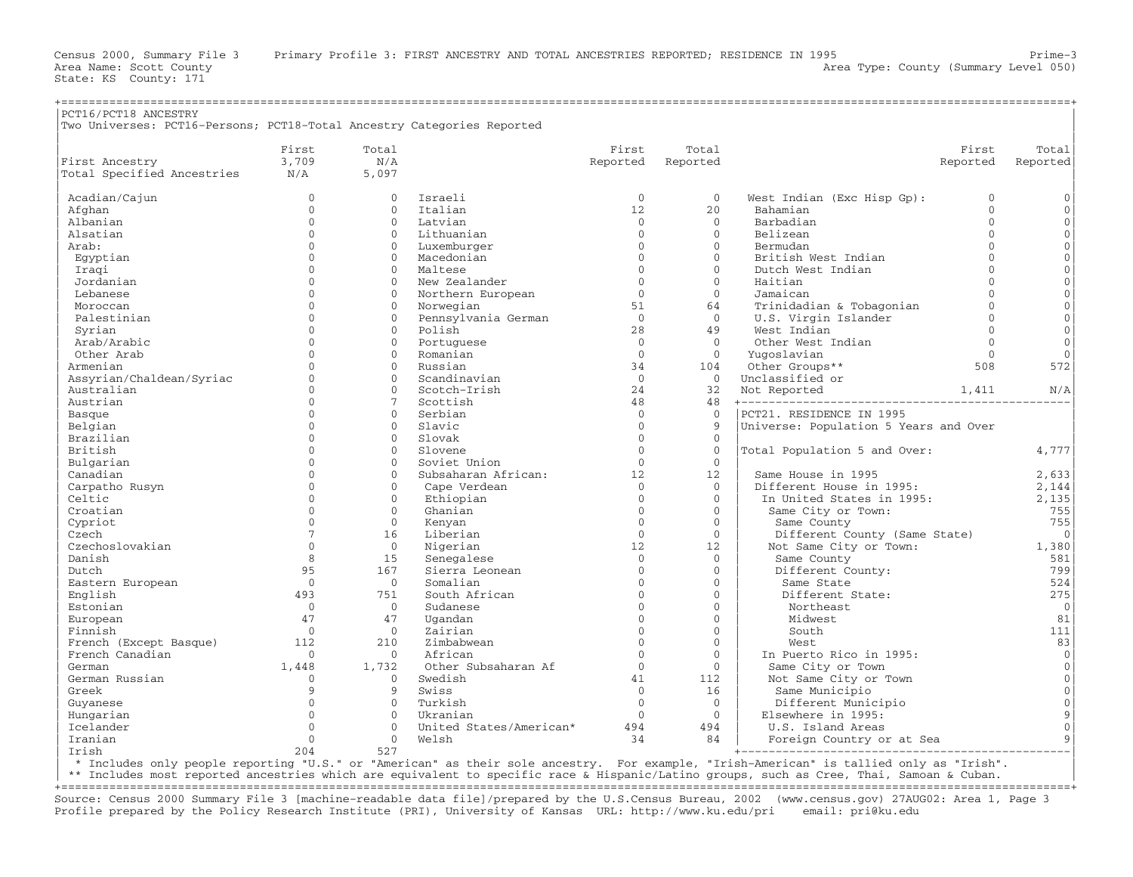State: KS County: 171

| PCT16/PCT18 ANCESTRY<br>Two Universes: PCT16-Persons; PCT18-Total Ancestry Categories Reported |                |                |                         |              |              |                                       |                |                     |
|------------------------------------------------------------------------------------------------|----------------|----------------|-------------------------|--------------|--------------|---------------------------------------|----------------|---------------------|
|                                                                                                | First          | Total          |                         | First        | Total        |                                       | First          | Total               |
| First Ancestry                                                                                 | 3,709          | N/A            |                         | Reported     | Reported     |                                       | Reported       | Reported            |
| Total Specified Ancestries                                                                     | N/A            | 5,097          |                         |              |              |                                       |                |                     |
| Acadian/Cajun                                                                                  | $\Omega$       | $\Omega$       | Israeli                 | $\Omega$     | $\Omega$     | West Indian (Exc Hisp Gp):            | $\Omega$       | $\mathbf{0}$        |
| Afghan                                                                                         | $\mathbf{0}$   | $\Omega$       | Italian                 | 12           | 20           | Bahamian                              | $\Omega$       | $\mathbf 0$         |
| Albanian                                                                                       | $\mathbf{0}$   | $\mathbf{0}$   | Latvian                 | $\mathbf{0}$ | $\mathbf{0}$ | Barbadian                             | $\overline{0}$ | $\mathsf{O}\xspace$ |
| Alsatian                                                                                       | $\Omega$       | $\Omega$       | Lithuanian              | $\Omega$     | $\Omega$     | Belizean                              | $\Omega$       | $\mathbf 0$         |
| Arab:                                                                                          | $\Omega$       | $\Omega$       | Luxemburger             | $\Omega$     | $\Omega$     | Bermudan                              | $\Omega$       | $\mathsf{O}\xspace$ |
| Eqyptian                                                                                       | $\Omega$       | $\Omega$       | Macedonian              | $\Omega$     | $\Omega$     | British West Indian                   | $\Omega$       | $\mathbf 0$         |
| Iraqi                                                                                          | $\Omega$       | $\Omega$       | Maltese                 | $\Omega$     | $\Omega$     | Dutch West Indian                     | $\Omega$       | $\mathsf{O}\xspace$ |
| Jordanian                                                                                      | $\cap$         | $\Omega$       | New Zealander           | $\Omega$     | $\Omega$     | Haitian                               | $\Omega$       | $\mathsf{O}\xspace$ |
| Lebanese                                                                                       | $\Omega$       | $\Omega$       | Northern European       | $\Omega$     | $\Omega$     | Jamaican                              | $\Omega$       | $\mathbf 0$         |
| Moroccan                                                                                       | $\Omega$       | $\Omega$       | Norwegian               | 51           | 64           | Trinidadian & Tobagonian              | $\Omega$       | $\mathsf{O}\xspace$ |
| Palestinian                                                                                    | $\Omega$       | $\Omega$       | Pennsylvania German     | $\Omega$     | $\Omega$     | U.S. Virgin Islander                  | $\Omega$       | $\mathbf 0$         |
| Syrian                                                                                         | $\Omega$       | $\Omega$       | Polish                  | 28           | 49           | West Indian                           | $\Omega$       | $\mathsf{O}\xspace$ |
| Arab/Arabic                                                                                    | $\cap$         | $\Omega$       | Portuquese              | $\Omega$     | $\Omega$     | Other West Indian                     | $\Omega$       | $\Omega$            |
| Other Arab                                                                                     | $\Omega$       | $\Omega$       | Romanian                | $\mathbf{0}$ | $\Omega$     | Yuqoslavian                           | $\Omega$       | $\mathbf 0$         |
| Armenian                                                                                       | $\Omega$       | $\overline{0}$ | Russian                 | 34           | 104          | Other Groups**                        | 508            | 572                 |
| Assyrian/Chaldean/Syriac                                                                       | $\Omega$       | $\Omega$       | Scandinavian            | $\Omega$     | $\Omega$     | Unclassified or                       |                |                     |
| Australian                                                                                     | $\mathbf{0}$   | $\mathbf{O}$   | Scotch-Irish            | 24           | 32           | Not Reported                          | 1,411          | N/A                 |
| Austrian                                                                                       | $\Omega$       | 7              | Scottish                | 48           | 48           |                                       |                |                     |
| Basque                                                                                         | $\Omega$       | $\Omega$       | Serbian                 | $\Omega$     | $\Omega$     | PCT21. RESIDENCE IN 1995              |                |                     |
| Belgian                                                                                        | $\Omega$       | $\Omega$       | Slavic                  | $\Omega$     | $\mathsf{Q}$ | Universe: Population 5 Years and Over |                |                     |
| Brazilian                                                                                      | $\Omega$       | $\Omega$       | Slovak                  | $\Omega$     | $\mathbf{0}$ |                                       |                |                     |
| British                                                                                        | $\Omega$       | $\Omega$       | Slovene                 | $\Omega$     | $\mathbf 0$  | Total Population 5 and Over:          |                | 4,777               |
| Bulgarian                                                                                      | $\Omega$       | $\Omega$       | Soviet Union            | $\Omega$     | $\Omega$     |                                       |                |                     |
| Canadian                                                                                       | $\Omega$       | $\Omega$       | Subsaharan African:     | 12           | 12           | Same House in 1995                    |                | 2,633               |
| Carpatho Rusyn                                                                                 | $\Omega$       | $\Omega$       | Cape Verdean            | $\Omega$     | $\Omega$     | Different House in 1995:              |                | 2,144               |
| Celtic                                                                                         | $\Omega$       | $\mathbf{0}$   | Ethiopian               | $\Omega$     | $\Omega$     | In United States in 1995:             |                | 2,135               |
| Croatian                                                                                       | $\Omega$       | $\Omega$       | Ghanian                 | $\Omega$     | $\Omega$     | Same City or Town:                    |                | 755                 |
| Cypriot                                                                                        | $\Omega$       | $\mathbf{0}$   | Kenyan                  | $\Omega$     | $\Omega$     | Same County                           |                | 755                 |
| Czech                                                                                          | $\overline{7}$ | 16             | Liberian                | $\mathbf{O}$ | $\mathbf{0}$ | Different County (Same State)         |                | $\overline{0}$      |
| Czechoslovakian                                                                                | $\Omega$       | $\Omega$       | Nigerian                | 12           | 12           | Not Same City or Town:                |                | 1,380               |
| Danish                                                                                         | 8              | 15             | Senegalese              | $\Omega$     | $\Omega$     | Same County                           |                | 581                 |
| Dutch                                                                                          | 95             | 167            | Sierra Leonean          | $\Omega$     | $\mathbf{0}$ | Different County:                     |                | 799                 |
| Eastern European                                                                               | $\Omega$       | $\Omega$       | Somalian                | $\Omega$     | $\Omega$     | Same State                            |                | 524                 |
| English                                                                                        | 493            | 751            | South African           | $\Omega$     | $\Omega$     | Different State:                      |                | 275                 |
| Estonian                                                                                       | $\Omega$       | $\Omega$       | Sudanese                | $\Omega$     | $\Omega$     | Northeast                             |                | $\overline{0}$      |
| European                                                                                       | 47             | 47             | Uqandan                 | $\Omega$     | $\mathbf{0}$ | Midwest                               |                | 81                  |
| Finnish                                                                                        | $\Omega$       | $\Omega$       | Zairian                 | $\Omega$     | $\Omega$     | South                                 |                | 111                 |
| French (Except Basque)                                                                         | 112            | 210            | Zimbabwean              | $\Omega$     | $\Omega$     | West.                                 |                | 83                  |
| French Canadian                                                                                | $\mathbf{0}$   | $\mathbf{0}$   | African                 | $\mathbf{0}$ | $\mathbf{0}$ | In Puerto Rico in 1995:               |                | $\overline{0}$      |
| German                                                                                         | 1,448          | 1,732          | Other Subsaharan Af     | $\Omega$     | $\Omega$     | Same City or Town                     |                | $\mathsf{O}\xspace$ |
| German Russian                                                                                 | $\mathbf{0}$   | $\Omega$       | Swedish                 | 41           | 112          | Not Same City or Town                 |                | $\mathsf{O}\xspace$ |
| Greek                                                                                          | 9              | 9              | Swiss                   | $\Omega$     | 16           | Same Municipio                        |                | $\mathbf 0$         |
| Guyanese                                                                                       | $\Omega$       | $\Omega$       | Turkish                 | $\Omega$     | $\mathbf{0}$ | Different Municipio                   |                | $\mathsf{O}\xspace$ |
| Hungarian                                                                                      | $\Omega$       | $\Omega$       | Ukranian                | $\Omega$     | $\Omega$     | Elsewhere in 1995:                    |                | 9                   |
| Icelander                                                                                      | $\Omega$       | $\Omega$       | United States/American* | 494          | 494          | U.S. Island Areas                     |                | $\mathbf 0$         |
| Iranian                                                                                        | $\Omega$       | $\mathbf{0}$   | Welsh                   | 34           | 84           | Foreign Country or at Sea             |                | 9                   |
| Irish                                                                                          | 204            | 527            |                         |              |              |                                       |                |                     |

| \* Includes only people reporting "U.S." or "American" as their sole ancestry. For example, "Irish−American" is tallied only as "Irish". |

| \*\* Includes most reported ancestries which are equivalent to specific race & Hispanic/Latino groups, such as Cree, Thai, Samoan & Cuban. | +===================================================================================================================================================+

Source: Census 2000 Summary File 3 [machine−readable data file]/prepared by the U.S.Census Bureau, 2002 (www.census.gov) 27AUG02: Area 1, Page 3 Profile prepared by the Policy Research Institute (PRI), University of Kansas URL: http://www.ku.edu/pri email: pri@ku.edu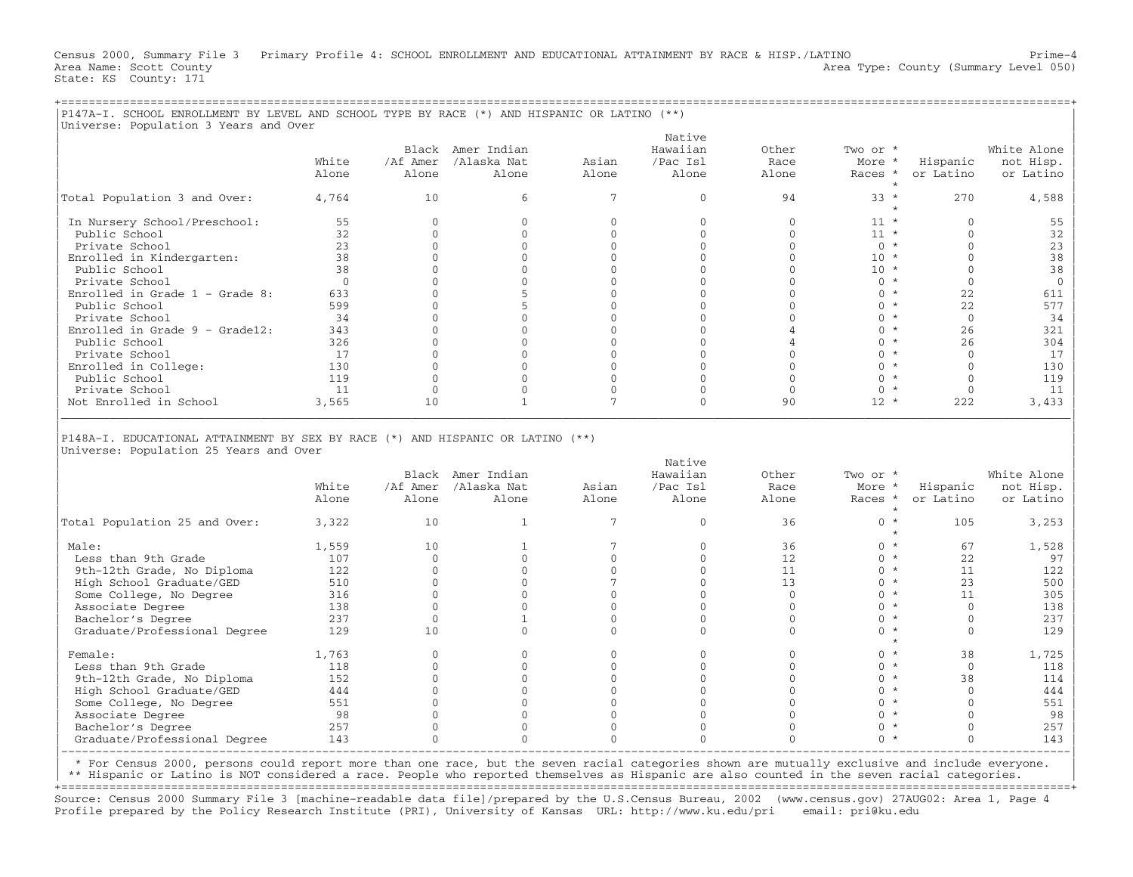Census 2000, Summary File 3 Primary Profile 4: SCHOOL ENROLLMENT AND EDUCATIONAL ATTAINMENT BY RACE & HISP./LATINO Prime−4 Area Name: Scott County 1999 (Summary Level 050) Area Type: County (Summary Level 050) State: KS County: 171

| P147A-I. SCHOOL ENROLLMENT BY LEVEL AND SCHOOL TYPE BY RACE (*) AND HISPANIC OR LATINO (**)<br>Universe: Population 3 Years and Over |                |                            |                                     |                |                                         |                        |                               |                       |                                       |  |  |  |
|--------------------------------------------------------------------------------------------------------------------------------------|----------------|----------------------------|-------------------------------------|----------------|-----------------------------------------|------------------------|-------------------------------|-----------------------|---------------------------------------|--|--|--|
|                                                                                                                                      | White<br>Alone | Black<br>/Af Amer<br>Alone | Amer Indian<br>/Alaska Nat<br>Alone | Asian<br>Alone | Native<br>Hawaiian<br>/Pac Isl<br>Alone | Other<br>Race<br>Alone | Two or *<br>More *<br>Races * | Hispanic<br>or Latino | White Alone<br>not Hisp.<br>or Latino |  |  |  |
| Total Population 3 and Over:                                                                                                         | 4,764          | 10                         |                                     |                |                                         | 94                     | $33 *$                        | 270                   | 4,588                                 |  |  |  |
| In Nursery School/Preschool:<br>Public School                                                                                        | 55<br>32       |                            |                                     |                |                                         |                        | $11 *$                        |                       |                                       |  |  |  |
| Private School<br>Enrolled in Kindergarten:                                                                                          | 23<br>38       |                            |                                     |                |                                         |                        | $10 *$                        |                       | 38                                    |  |  |  |
| Public School                                                                                                                        | 38             |                            |                                     |                |                                         |                        | $10 *$                        |                       |                                       |  |  |  |
| Private School<br>Enrolled in Grade $1$ - Grade 8:                                                                                   | 633            |                            |                                     |                |                                         |                        | ∩ *<br>∩ *                    | 22                    | 61                                    |  |  |  |
| Public School<br>Private School                                                                                                      | 599<br>34      |                            |                                     |                |                                         |                        | ∩ *                           | 22                    | 34                                    |  |  |  |
| Enrolled in Grade $9 -$ Grade12:<br>Public School                                                                                    | 343<br>326     |                            |                                     |                |                                         |                        |                               | 26<br>26              | 321<br>304                            |  |  |  |

| Private School 17 0 0 0 0 0 0 \* 0 17 | Post in College: The college: 130 0 0 0 0 0 0 0 0 0 0 130 Public School 130 0 130 in the college: 130 0 0 0 0 0 130 in the college: 130 0 0 0 0 130 in the college: 119 0 0 0 0 0 0 119 in the college: 119 0 0 0 0 0 119 in t | Public School 119 0 0 0 0 0 0 \* 0 119 | | Private School 11 0 0 0 0 0 0 \* 0 11 | Not Enrolled in School 3,565 10 1 7 0 90 12 \* 222 3,433 |\_\_\_\_\_\_\_\_\_\_\_\_\_\_\_\_\_\_\_\_\_\_\_\_\_\_\_\_\_\_\_\_\_\_\_\_\_\_\_\_\_\_\_\_\_\_\_\_\_\_\_\_\_\_\_\_\_\_\_\_\_\_\_\_\_\_\_\_\_\_\_\_\_\_\_\_\_\_\_\_\_\_\_\_\_\_\_\_\_\_\_\_\_\_\_\_\_\_\_\_\_\_\_\_\_\_\_\_\_\_\_\_\_\_\_\_\_\_\_\_\_\_\_\_\_\_\_\_\_\_\_\_\_\_\_\_\_\_\_\_\_\_\_\_\_\_\_|

| | |P148A−I. EDUCATIONAL ATTAINMENT BY SEX BY RACE (\*) AND HISPANIC OR LATINO (\*\*) | |Universe: Population 25 Years and Over |

|                               |       |          |             |       | Native   |       |          |           |             |
|-------------------------------|-------|----------|-------------|-------|----------|-------|----------|-----------|-------------|
|                               |       | Black    | Amer Indian |       | Hawaiian | Other | Two or * |           | White Alone |
|                               | White | /Af Amer | /Alaska Nat | Asian | /Pac Isl | Race  | More *   | Hispanic  | not Hisp.   |
|                               | Alone | Alone    | Alone       | Alone | Alone    | Alone | Races *  | or Latino | or Latino   |
| Total Population 25 and Over: | 3,322 | 10       |             |       |          | 36    |          | 105       | 3,253       |
| Male:                         | 1,559 | 10       |             |       |          | 36    |          | 67        | 1,528       |
| Less than 9th Grade           | 107   |          |             |       |          | 12    |          | 22        | 97          |
| 9th-12th Grade, No Diploma    | 122   |          |             |       |          | 11    |          | 11        | 122         |
| High School Graduate/GED      | 510   |          |             |       |          | 13    |          | 23        | 500         |
| Some College, No Degree       | 316   |          |             |       |          |       |          |           | 305         |
| Associate Degree              | 138   |          |             |       |          |       |          |           | 138         |
| Bachelor's Degree             | 237   |          |             |       |          |       |          |           | 237         |
| Graduate/Professional Degree  | 129   | 10       |             |       |          |       |          |           | 129         |
| Female:                       | 1,763 |          |             |       |          |       |          | 38        | 1,725       |
| Less than 9th Grade           | 118   |          |             |       |          |       |          |           | 118         |
| 9th-12th Grade, No Diploma    | 152   |          |             |       |          |       |          | 38        | 114         |
| High School Graduate/GED      | 444   |          |             |       |          |       |          |           | 444         |
| Some College, No Degree       | 551   |          |             |       |          |       |          |           | 551         |
| Associate Degree              | 98    |          |             |       |          |       |          |           | 98          |
| Bachelor's Degree             | 257   |          |             |       |          |       |          |           | 257         |
| Graduate/Professional Degree  | 143   |          |             |       |          |       |          |           | 143         |
|                               |       |          |             |       |          |       |          |           |             |

| \* For Census 2000, persons could report more than one race, but the seven racial categories shown are mutually exclusive and include everyone. |

\*\* Hispanic or Latino is NOT considered a race. People who reported themselves as Hispanic are also counted in the seven racial categories. +===================================================================================================================================================+

Source: Census 2000 Summary File 3 [machine−readable data file]/prepared by the U.S.Census Bureau, 2002 (www.census.gov) 27AUG02: Area 1, Page 4 Profile prepared by the Policy Research Institute (PRI), University of Kansas URL: http://www.ku.edu/pri email: pri@ku.edu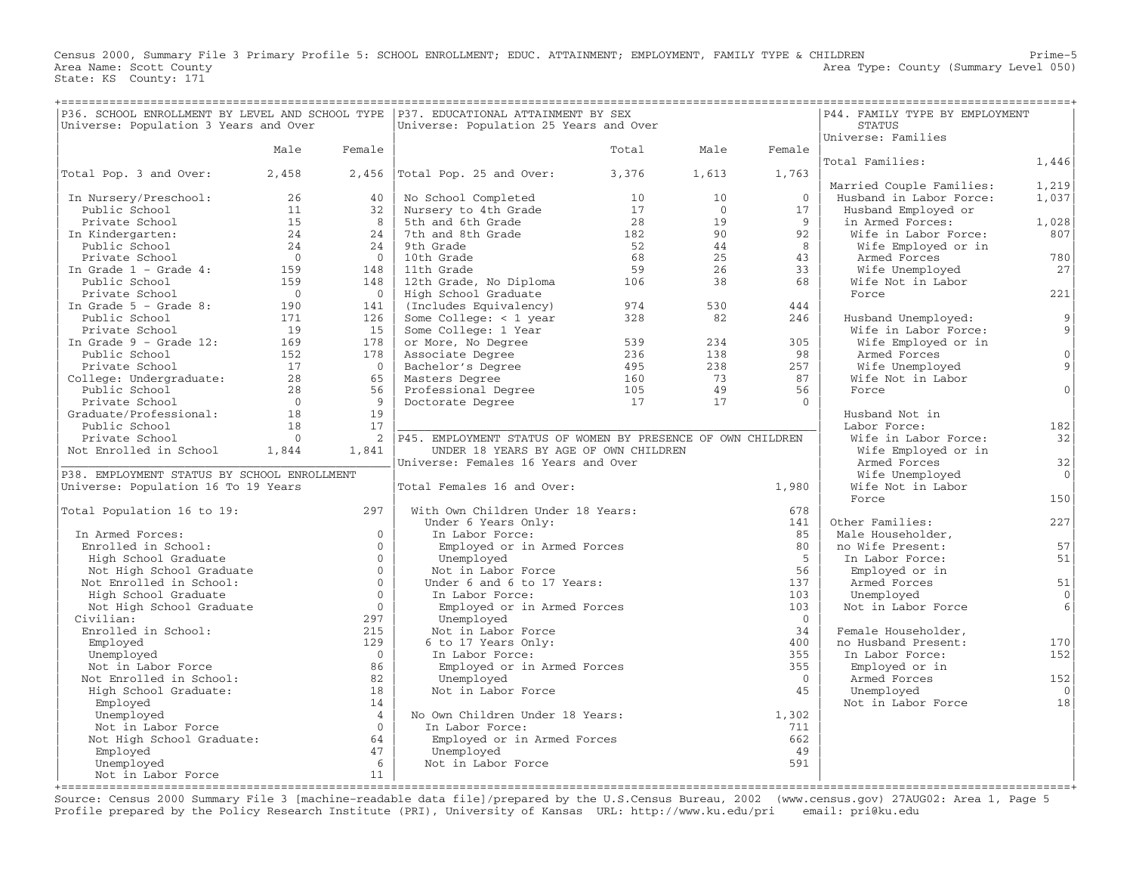Census 2000, Summary File 3 Primary Profile 5: SCHOOL ENROLLMENT; EDUC. ATTAINMENT; EMPLOYMENT, FAMILY TYPE & CHILDREN Prime−5 Area Name: Scott County 1999 and County Area Type: County (Summary Level 050) State: KS County: 171

| P36. SCHOOL ENROLLMENT BY LEVEL AND SCHOOL TYPE   P37. EDUCATIONAL ATTAINMENT BY SEX<br>Universe: Population 3 Years and Over |            |                      | Universe: Population 25 Years and Over                      | P44. FAMILY TYPE BY EMPLOYMENT<br><b>STATUS</b> |                 |                |                            |                  |
|-------------------------------------------------------------------------------------------------------------------------------|------------|----------------------|-------------------------------------------------------------|-------------------------------------------------|-----------------|----------------|----------------------------|------------------|
|                                                                                                                               |            |                      |                                                             |                                                 |                 |                | Universe: Families         |                  |
|                                                                                                                               | Male       | Female               |                                                             | Total                                           | Male            | Female         |                            |                  |
|                                                                                                                               |            |                      |                                                             |                                                 |                 |                | Total Families:            | 1,446            |
| Total Pop. 3 and Over:                                                                                                        | 2,458      |                      | $2,456$ Total Pop. 25 and Over:                             | 3,376                                           | 1,613           | 1,763          |                            |                  |
|                                                                                                                               |            |                      |                                                             |                                                 |                 |                | Married Couple Families:   | 1,219            |
| In Nursery/Preschool:                                                                                                         | 26         | 40                   | No School Completed                                         | 10                                              | 10 <sup>°</sup> | $\Omega$       | Husband in Labor Force:    | 1,037            |
| Public School                                                                                                                 | 11         | 32                   | Nursery to 4th Grade                                        | 17                                              | $\overline{0}$  | 17             | Husband Employed or        |                  |
| Private School                                                                                                                | 1.5        | 8                    | 5th and 6th Grade                                           | 2.8                                             | 19              | $\overline{9}$ | in Armed Forces:           | 1,028            |
| In Kindergarten:                                                                                                              | 24         | 24                   | 7th and 8th Grade                                           | 182                                             | 90              | 92             | Wife in Labor Force:       | 807              |
| Public School                                                                                                                 | 24         | 24                   | 9th Grade                                                   | 52                                              | 44              | 8              | Wife Employed or in        |                  |
| Private School                                                                                                                | $\bigcap$  | $\Omega$             | 10th Grade                                                  | 68                                              | 25              | 43             | Armed Forces               | 780              |
| In Grade $1$ - Grade $4$ :                                                                                                    | 159        | 148                  | 11th Grade                                                  | 59                                              | 26              | 33             | Wife Unemployed            | 27               |
| Public School                                                                                                                 | 159        | 148                  | 12th Grade, No Diploma                                      | 106                                             | 38              | 68             | Wife Not in Labor          |                  |
| Private School                                                                                                                | $\bigcirc$ | $\Omega$             | High School Graduate                                        |                                                 |                 |                | Force                      | 221              |
| In Grade $5$ - Grade 8:                                                                                                       | 190        | 141                  | (Includes Equivalency)                                      | 974                                             | 530             | 444            |                            |                  |
| Public School                                                                                                                 | 171        | 126                  | Some College: $<$ 1 year                                    | 328                                             | 82              | 246            | Husband Unemployed:        | 9                |
| Private School                                                                                                                | 19         | 15                   | Some College: 1 Year                                        |                                                 |                 |                | Wife in Labor Force:       | 9                |
| In Grade $9$ - Grade 12:                                                                                                      | 169        | 178                  | or More, No Degree                                          | 539                                             | 234             | 305            | Wife Employed or in        | $\Omega$         |
| Public School                                                                                                                 | 152        | 178                  | Associate Degree                                            | 236                                             | 138             | 98             | Armed Forces               |                  |
| Private School                                                                                                                | 17<br>28   | $\overline{0}$       | Bachelor's Degree                                           | 495                                             | 238             | 257            | Wife Unemployed            | 9                |
| College: Undergraduate:<br>Public School                                                                                      | 28         | 65<br>56             | Masters Degree                                              | 160<br>105                                      | 73<br>49        | 87<br>56       | Wife Not in Labor<br>Force | $\Omega$         |
| Private School                                                                                                                | $\bigcap$  | 9                    | Professional Degree<br>Doctorate Degree                     | 17                                              | 17              | $\Omega$       |                            |                  |
| Graduate/Professional:                                                                                                        | 18         | 19                   |                                                             |                                                 |                 |                | Husband Not in             |                  |
| Public School                                                                                                                 | 18         | 17                   |                                                             |                                                 |                 |                | Labor Force:               | 182              |
| Private School                                                                                                                | $\bigcap$  | 2                    | P45. EMPLOYMENT STATUS OF WOMEN BY PRESENCE OF OWN CHILDREN |                                                 |                 |                | Wife in Labor Force:       | 32               |
| Not Enrolled in School                                                                                                        | 1,844      | 1,841                | UNDER 18 YEARS BY AGE OF OWN CHILDREN                       |                                                 |                 |                | Wife Employed or in        |                  |
|                                                                                                                               |            |                      | Universe: Females 16 Years and Over                         |                                                 |                 |                | Armed Forces               | 32               |
| P38. EMPLOYMENT STATUS BY SCHOOL ENROLLMENT                                                                                   |            |                      |                                                             |                                                 |                 |                | Wife Unemployed            | $\Omega$         |
| Universe: Population 16 To 19 Years                                                                                           |            |                      | Total Females 16 and Over:                                  |                                                 |                 | 1,980          | Wife Not in Labor          |                  |
|                                                                                                                               |            |                      |                                                             |                                                 |                 |                | Force                      | 150              |
| Total Population 16 to 19:                                                                                                    |            | 297                  | With Own Children Under 18 Years:                           |                                                 |                 | 678            |                            |                  |
|                                                                                                                               |            |                      | Under 6 Years Only:                                         |                                                 |                 | 141            | Other Families:            | 227              |
| In Armed Forces:                                                                                                              |            | $\Omega$             | In Labor Force:                                             |                                                 |                 | 85             | Male Householder,          |                  |
| Enrolled in School:                                                                                                           |            | $\Omega$             | Employed or in Armed Forces                                 |                                                 |                 | 80             | no Wife Present:           | 57               |
| High School Graduate                                                                                                          |            | $\Omega$             | Unemployed                                                  |                                                 |                 | $-5$           | In Labor Force:            | 51               |
| Not High School Graduate                                                                                                      |            | $\Omega$             | Not in Labor Force                                          |                                                 |                 | 56             | Employed or in             |                  |
| Not Enrolled in School:                                                                                                       |            | $\Omega$             | Under 6 and 6 to 17 Years:                                  |                                                 |                 | 137            | Armed Forces               | 51               |
| High School Graduate                                                                                                          |            | $\Omega$             | In Labor Force:                                             |                                                 |                 | 103            | Unemployed                 | $\mathbf{0}$     |
| Not High School Graduate                                                                                                      |            | $\Omega$             | Employed or in Armed Forces                                 |                                                 |                 | 103            | Not in Labor Force         | $6 \overline{6}$ |
| Civilian:                                                                                                                     |            | 297                  | Unemployed                                                  |                                                 |                 | $\overline{0}$ |                            |                  |
| Enrolled in School:                                                                                                           |            | 215                  | Not in Labor Force                                          |                                                 |                 | 34             | Female Householder,        |                  |
| Employed                                                                                                                      |            | 129                  | 6 to 17 Years Only:                                         |                                                 |                 | 400            | no Husband Present:        | 170              |
| Unemployed                                                                                                                    |            | $\Omega$             | In Labor Force:                                             |                                                 |                 | 355            | In Labor Force:            | 152              |
| Not in Labor Force                                                                                                            |            | 86                   | Employed or in Armed Forces                                 |                                                 |                 | 355            | Employed or in             |                  |
| Not Enrolled in School:                                                                                                       |            | 82                   | Unemployed                                                  |                                                 |                 | $\Omega$       | Armed Forces               | 152              |
| High School Graduate:                                                                                                         |            | 18                   | Not in Labor Force                                          |                                                 |                 | 45             | Unemployed                 | $\bigcap$        |
| Employed                                                                                                                      |            | 14<br>$\overline{4}$ | No Own Children Under 18 Years:                             |                                                 |                 | 1,302          | Not in Labor Force         | 18               |
| Unemployed                                                                                                                    |            | $\Omega$             |                                                             |                                                 |                 |                |                            |                  |
| Not in Labor Force<br>Not High School Graduate:                                                                               |            | 64                   | In Labor Force:<br>Employed or in Armed Forces              |                                                 |                 | 711<br>662     |                            |                  |
| Employed                                                                                                                      |            | 47                   | Unemployed                                                  |                                                 |                 | 49             |                            |                  |
| Unemployed                                                                                                                    |            | 6                    | Not in Labor Force                                          |                                                 |                 | 591            |                            |                  |
| Not in Labor Force                                                                                                            |            | 11                   |                                                             |                                                 |                 |                |                            |                  |
|                                                                                                                               |            |                      |                                                             |                                                 |                 |                |                            |                  |

Source: Census 2000 Summary File 3 [machine−readable data file]/prepared by the U.S.Census Bureau, 2002 (www.census.gov) 27AUG02: Area 1, Page 5 Profile prepared by the Policy Research Institute (PRI), University of Kansas URL: http://www.ku.edu/pri email: pri@ku.edu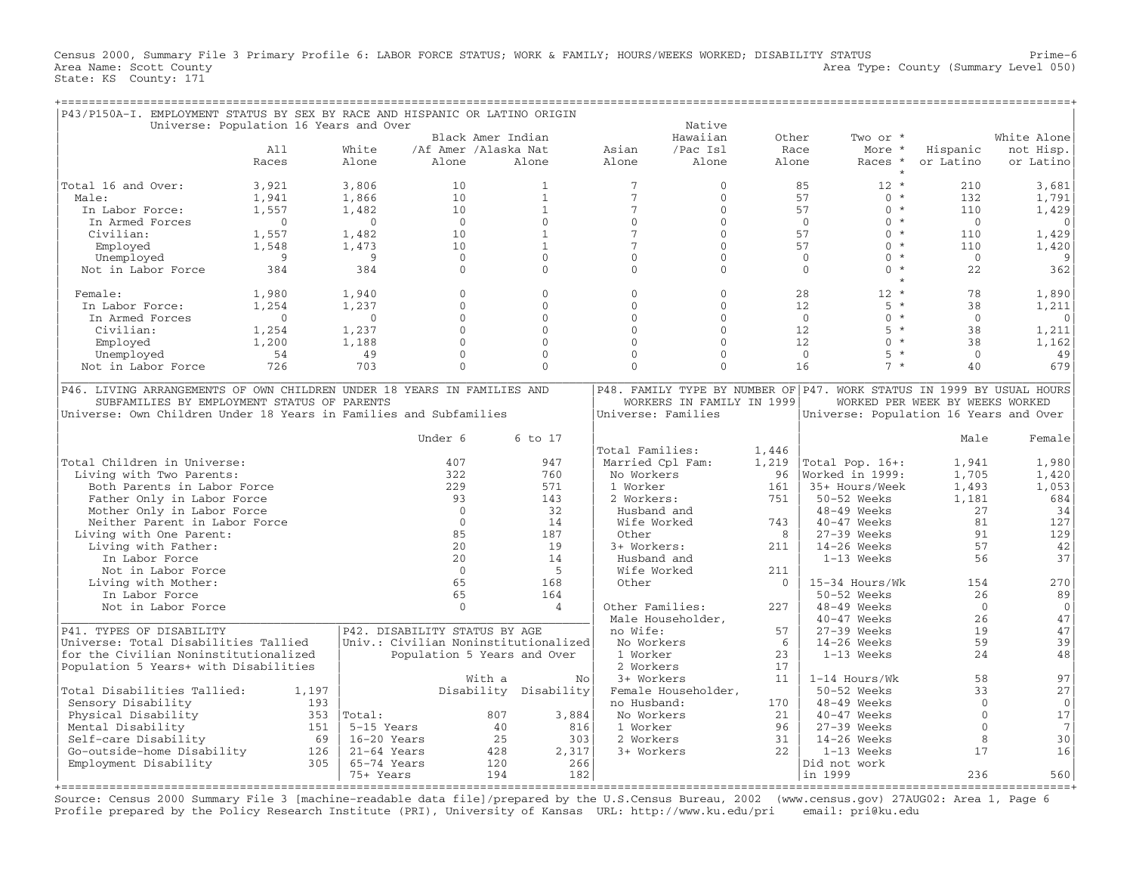Census 2000, Summary File 3 Primary Profile 6: LABOR FORCE STATUS; WORK & FAMILY; HOURS/WEEKS WORKED; DISABILITY STATUS Prime−6 Area Name: Scott County **Area Type: County Area Type: County (Summary Level 050)** State: KS County: 171

| P43/P150A-I. EMPLOYMENT STATUS BY SEX BY RACE AND HISPANIC OR LATINO ORIGIN                                                                                                                 |                                        |                               |                      |                                      |                                      |                           |          |                                                                                                                 |                                 |                   |
|---------------------------------------------------------------------------------------------------------------------------------------------------------------------------------------------|----------------------------------------|-------------------------------|----------------------|--------------------------------------|--------------------------------------|---------------------------|----------|-----------------------------------------------------------------------------------------------------------------|---------------------------------|-------------------|
|                                                                                                                                                                                             | Universe: Population 16 Years and Over |                               |                      |                                      |                                      | Native                    |          |                                                                                                                 |                                 |                   |
|                                                                                                                                                                                             |                                        |                               |                      | Black Amer Indian                    |                                      | Hawaiian                  | Other    | Two or *                                                                                                        |                                 | White Alone       |
|                                                                                                                                                                                             | A11                                    | White                         | /Af Amer /Alaska Nat |                                      | Asian                                | /Pac Isl                  | Race     | More *                                                                                                          | Hispanic                        | not Hisp.         |
|                                                                                                                                                                                             | Races                                  | Alone                         | Alone                | Alone                                | Alone                                | Alone                     | Alone    | Races *                                                                                                         | or Latino                       | or Latino         |
| Total 16 and Over:                                                                                                                                                                          | 3,921                                  | 3,806                         | 10                   | $\mathbf{1}$                         | $7\phantom{.0}$                      | $\mathbf{0}$              |          | $12 *$<br>85                                                                                                    | 210                             | 3,681             |
| Male:                                                                                                                                                                                       | 1,941                                  | 1,866                         | 10                   | $\mathbf{1}$                         | $7\phantom{.0}$                      | $\Omega$                  |          | 57<br>$0 *$                                                                                                     | 132                             | 1,791             |
| In Labor Force:                                                                                                                                                                             | 1,557                                  | 1,482                         | 10                   | $\mathbf{1}$                         | $7\phantom{.0}$                      | $\mathbf{0}$              |          | 57<br>$0 *$                                                                                                     | 110                             | 1,429             |
| In Armed Forces                                                                                                                                                                             | $\Omega$                               | $\Omega$                      | $\overline{0}$       | $\Omega$                             | $\Omega$                             | $\Omega$                  |          | $\Omega$<br>$0 *$                                                                                               | $\Omega$                        | $\Omega$          |
| Civilian:                                                                                                                                                                                   | 1,557                                  | 1,482                         | 10                   | $\mathbf{1}$                         | $7\phantom{.0}$                      | $\Omega$                  |          | $0 *$<br>57                                                                                                     | 110                             | 1,429             |
| Employed                                                                                                                                                                                    | 1,548                                  | 1,473                         | 10                   | $\mathbf{1}$                         | $\overline{7}$                       | $\Omega$                  |          | 57<br>$0 *$                                                                                                     | 110                             | 1,420             |
| Unemployed                                                                                                                                                                                  | 9                                      | 9                             | $\mathbf{0}$         | $\Omega$                             | $\mathbf{0}$                         | $\Omega$                  |          | $0 *$<br>$\overline{0}$                                                                                         | $\overline{0}$                  | 9                 |
| Not in Labor Force                                                                                                                                                                          | 384                                    | 384                           | $\Omega$             | $\Omega$                             | $\Omega$                             | $\Omega$                  |          | $\Omega$<br>$0 *$                                                                                               | 22                              | 362               |
| Female:                                                                                                                                                                                     | 1,980                                  | 1,940                         | $\Omega$             | $\Omega$                             | $\Omega$                             | $\Omega$                  |          | 28<br>$12 *$                                                                                                    | 78                              | 1,890             |
| In Labor Force:                                                                                                                                                                             | 1,254                                  | 1,237                         | $\Omega$             | $\Omega$                             | $\Omega$                             | $\Omega$                  |          | 12 <sup>°</sup><br>$5 *$                                                                                        | 38                              | 1,211             |
| In Armed Forces                                                                                                                                                                             | $\Omega$                               | $\Omega$                      | $\Omega$             | $\Omega$                             | $\Omega$                             | $\Omega$                  |          | $\overline{0}$<br>$0 *$                                                                                         | $\Omega$                        | $\Omega$          |
| Civilian:                                                                                                                                                                                   | 1,254                                  | 1,237                         | $\Omega$             | $\Omega$                             | $\Omega$                             | $\Omega$                  |          | $5 *$<br>12                                                                                                     | 38                              | 1,211             |
| Employed                                                                                                                                                                                    | 1,200                                  | 1,188                         | $\Omega$             | $\Omega$                             | $\Omega$                             | $\Omega$                  |          | 12<br>$0 *$                                                                                                     | 38                              | 1,162             |
| Unemployed                                                                                                                                                                                  | 54                                     | 49                            | $\Omega$             | $\Omega$                             | $\Omega$                             | $\Omega$                  |          | $\Omega$<br>$5 *$                                                                                               | $\Omega$                        | 49                |
| Not in Labor Force                                                                                                                                                                          | 726                                    | 703                           | $\Omega$             | $\Omega$                             | $\Omega$                             | $\Omega$                  |          | $7 *$<br>16                                                                                                     | 40                              | 679               |
| P46. LIVING ARRANGEMENTS OF OWN CHILDREN UNDER 18 YEARS IN FAMILIES AND<br>SUBFAMILIES BY EMPLOYMENT STATUS OF PARENTS<br>Universe: Own Children Under 18 Years in Families and Subfamilies |                                        |                               |                      |                                      | Universe: Families                   | WORKERS IN FAMILY IN 1999 |          | P48. FAMILY TYPE BY NUMBER OF P47. WORK STATUS IN 1999 BY USUAL HOURS<br>Universe: Population 16 Years and Over | WORKED PER WEEK BY WEEKS WORKED |                   |
|                                                                                                                                                                                             |                                        |                               | Under 6              | 6 to 17                              | Total Families:                      |                           | 1,446    |                                                                                                                 | Male                            | Female            |
| Total Children in Universe:                                                                                                                                                                 |                                        |                               | 407                  | 947                                  | Married Cpl Fam:                     |                           | 1,219    | Total Pop. 16+:                                                                                                 | 1,941                           | 1,980             |
| Living with Two Parents:                                                                                                                                                                    |                                        |                               | 322                  | 760                                  | No Workers                           |                           | 96       | Worked in 1999:                                                                                                 | 1,705                           | 1,420             |
| Both Parents in Labor Force                                                                                                                                                                 |                                        |                               | 229                  | 571                                  | 1 Worker                             |                           | 161      | 35+ Hours/Week                                                                                                  | 1,493                           | 1,053             |
| Father Only in Labor Force                                                                                                                                                                  |                                        |                               | 93                   | 143                                  | 2 Workers:                           |                           | 751      | 50-52 Weeks                                                                                                     | 1,181                           | 684               |
| Mother Only in Labor Force                                                                                                                                                                  |                                        |                               | $\Omega$             | 32                                   | Husband and                          |                           |          | 48-49 Weeks                                                                                                     | 27                              | 34                |
| Neither Parent in Labor Force                                                                                                                                                               |                                        |                               | $\Omega$             | 14                                   | Wife Worked                          |                           | 743      | $40-47$ Weeks                                                                                                   | 81                              | 127               |
| Living with One Parent:                                                                                                                                                                     |                                        |                               | 85                   | 187                                  | Other                                |                           | 8        | $27-39$ Weeks                                                                                                   | 91                              | 129               |
| Living with Father:                                                                                                                                                                         |                                        |                               | 2.0                  | 19                                   | 3+ Workers:                          |                           | 211      | $14-26$ Weeks                                                                                                   | 57                              | 42                |
| In Labor Force                                                                                                                                                                              |                                        |                               | 20                   | 14                                   | Husband and                          |                           |          | 1-13 Weeks                                                                                                      | 56                              | 37                |
| Not in Labor Force                                                                                                                                                                          |                                        |                               | $\Omega$             | 5                                    | Wife Worked                          |                           | 211      |                                                                                                                 |                                 |                   |
| Living with Mother:                                                                                                                                                                         |                                        |                               | 65                   | 168                                  | Other                                |                           | $\Omega$ | 15-34 Hours/Wk                                                                                                  | 154                             | 270               |
| In Labor Force                                                                                                                                                                              |                                        |                               | 65<br>$\Omega$       | 164                                  |                                      |                           |          | 50-52 Weeks                                                                                                     | 26<br>$\Omega$                  | 89                |
| Not in Labor Force                                                                                                                                                                          |                                        |                               |                      | 4                                    | Other Families:<br>Male Householder, |                           | 227      | 48-49 Weeks<br>$40 - 47$ Weeks                                                                                  | 26                              | $\mathbf 0$<br>47 |
| P41. TYPES OF DISABILITY                                                                                                                                                                    |                                        | P42. DISABILITY STATUS BY AGE |                      |                                      | no Wife:                             |                           | 57       | 27-39 Weeks                                                                                                     | 19                              | 47                |
| Universe: Total Disabilities Tallied                                                                                                                                                        |                                        |                               |                      | Univ.: Civilian Noninstitutionalized | No Workers                           |                           | 6        | $14-26$ Weeks                                                                                                   | 59                              | 39                |
| for the Civilian Noninstitutionalized                                                                                                                                                       |                                        |                               |                      | Population 5 Years and Over          | 1 Worker                             |                           | 23       | 1-13 Weeks                                                                                                      | 24                              | 48                |
| Population 5 Years+ with Disabilities                                                                                                                                                       |                                        |                               |                      |                                      | 2 Workers                            |                           | 17       |                                                                                                                 |                                 |                   |
|                                                                                                                                                                                             |                                        |                               | With a               | No                                   | 3+ Workers                           |                           | 11       | $1-14$ Hours/Wk                                                                                                 | 58                              | 97                |
| Total Disabilities Tallied:                                                                                                                                                                 | 1,197                                  |                               |                      | Disability Disability                |                                      | Female Householder,       |          | 50-52 Weeks                                                                                                     | 33                              | 27                |
| Sensory Disability                                                                                                                                                                          | 193                                    |                               |                      |                                      | no Husband:                          |                           | 170      | $48-49$ Weeks                                                                                                   | $\Omega$                        | $\mathsf O$       |
| Physical Disability                                                                                                                                                                         |                                        | $353$  Total:                 |                      | 807<br>3,884                         | No Workers                           |                           | 21       | 40-47 Weeks                                                                                                     | $\Omega$                        | $17$              |
| Mental Disability                                                                                                                                                                           | 151                                    | 5-15 Years                    |                      | 40<br>816                            | 1 Worker                             |                           | 96       | $27-39$ Weeks                                                                                                   | $\Omega$                        | $7\phantom{.0}$   |
| Self-care Disability                                                                                                                                                                        | 69                                     | 16-20 Years                   |                      | 25<br>303                            | 2 Workers                            |                           | 31       | $14-26$ Weeks                                                                                                   | 8                               | 30                |
| Go-outside-home Disability                                                                                                                                                                  | 126                                    | $21-64$ Years                 |                      | 428<br>2,317                         | 3+ Workers                           |                           | 22       | $1-13$ Weeks                                                                                                    | 17                              | 16                |
| Employment Disability                                                                                                                                                                       | 305                                    | 65-74 Years                   |                      | 120<br>266                           |                                      |                           |          | Did not work                                                                                                    |                                 |                   |
|                                                                                                                                                                                             |                                        | 75+ Years                     |                      | 194<br>182                           |                                      |                           |          | in 1999                                                                                                         | 236                             | 560               |

Source: Census 2000 Summary File 3 [machine−readable data file]/prepared by the U.S.Census Bureau, 2002 (www.census.gov) 27AUG02: Area 1, Page 6 Profile prepared by the Policy Research Institute (PRI), University of Kansas URL: http://www.ku.edu/pri email: pri@ku.edu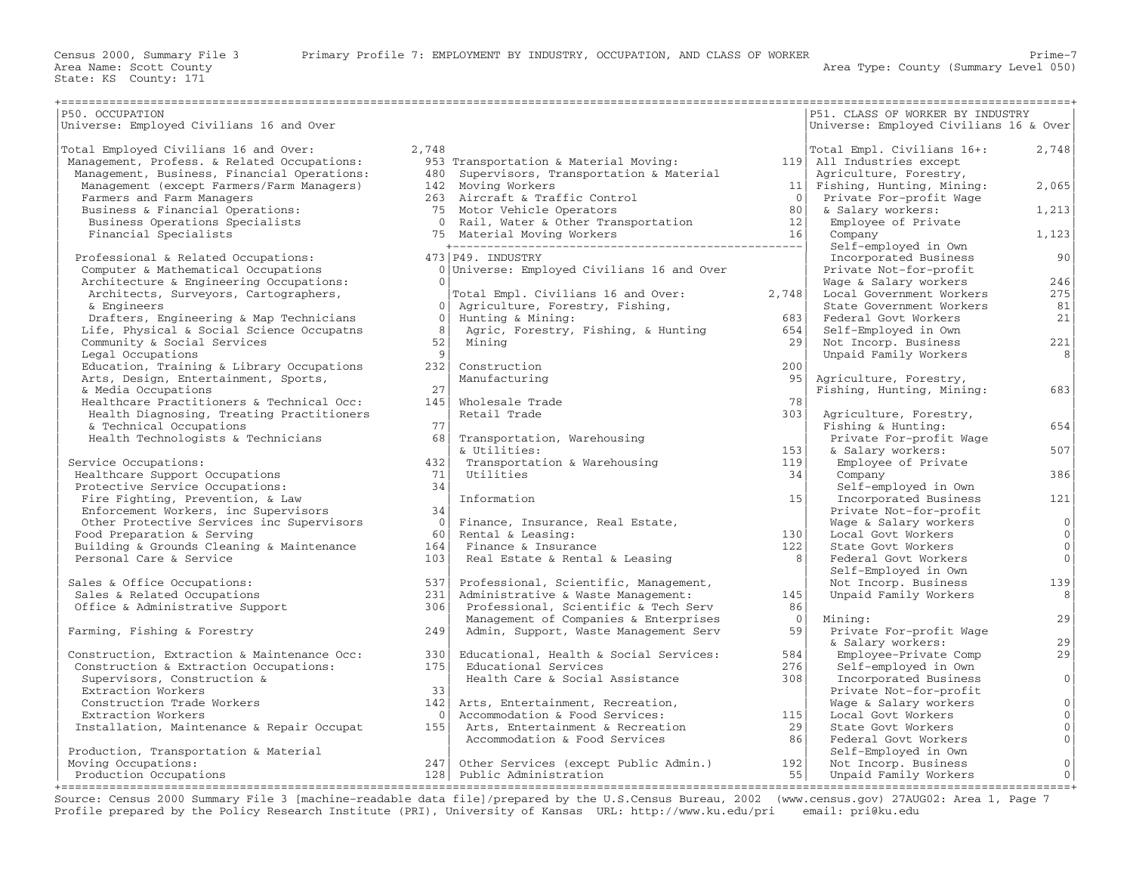| P50. OCCUPATION                             |                       |                                            |                 | P51. CLASS OF WORKER BY INDUSTRY       |                     |
|---------------------------------------------|-----------------------|--------------------------------------------|-----------------|----------------------------------------|---------------------|
| Universe: Employed Civilians 16 and Over    |                       |                                            |                 | Universe: Employed Civilians 16 & Over |                     |
|                                             |                       |                                            |                 |                                        |                     |
| Total Employed Civilians 16 and Over:       | 2,748                 |                                            |                 | Total Empl. Civilians 16+:             | 2,748               |
| Management, Profess. & Related Occupations: |                       | 953 Transportation & Material Moving:      |                 | 119 All Industries except              |                     |
| Management, Business, Financial Operations: |                       | 480 Supervisors, Transportation & Material |                 | Agriculture, Forestry,                 |                     |
| Management (except Farmers/Farm Managers)   |                       | 142 Moving Workers                         | 11              | Fishing, Hunting, Mining:              | 2,065               |
| Farmers and Farm Managers                   |                       | 263 Aircraft & Traffic Control             | $\bigcirc$      | Private For-profit Wage                |                     |
| Business & Financial Operations:            |                       | 75 Motor Vehicle Operators                 | 80              | & Salary workers:                      | 1,213               |
| Business Operations Specialists             |                       | 0 Rail, Water & Other Transportation       | 12              | Employee of Private                    |                     |
| Financial Specialists                       |                       |                                            | 16              | Company                                | 1,123               |
|                                             |                       |                                            |                 | Self-employed in Own                   |                     |
| Professional & Related Occupations:         |                       | 473 P49. INDUSTRY                          |                 | Incorporated Business                  | 90                  |
| Computer & Mathematical Occupations         |                       | 0 Universe: Employed Civilians 16 and Over |                 | Private Not-for-profit                 |                     |
| Architecture & Engineering Occupations:     | $\Omega$              |                                            |                 | Wage & Salary workers                  | 246                 |
| Architects, Surveyors, Cartographers,       |                       | Total Empl. Civilians 16 and Over:         | 2,748           | Local Government Workers               | 275                 |
| & Engineers                                 | 0 <sup>1</sup>        | Agriculture, Forestry, Fishing,            |                 | State Government Workers               | 81                  |
| Drafters, Engineering & Map Technicians     | $\Omega$              | Hunting & Mining:                          | 683             | Federal Govt Workers                   | 21                  |
| Life, Physical & Social Science Occupatns   | 8 <sup>1</sup>        | Agric, Forestry, Fishing, & Hunting        | 654             | Self-Employed in Own                   |                     |
| Community & Social Services                 | 52                    | Mining                                     | 29              | Not Incorp. Business                   | 221                 |
| Legal Occupations                           | -91                   |                                            |                 | Unpaid Family Workers                  | 8 <sup>1</sup>      |
| Education, Training & Library Occupations   | 232                   | Construction                               | 200             |                                        |                     |
|                                             |                       | Manufacturing                              | 95              |                                        |                     |
| Arts, Design, Entertainment, Sports,        | 2.7                   |                                            |                 | Agriculture, Forestry,                 |                     |
| & Media Occupations                         |                       |                                            |                 | Fishing, Hunting, Mining:              | 683                 |
| Healthcare Practitioners & Technical Occ:   | 145                   | Wholesale Trade                            | 78              |                                        |                     |
| Health Diagnosing, Treating Practitioners   |                       | Retail Trade                               | 303             | Agriculture, Forestry,                 |                     |
| & Technical Occupations                     | 77                    |                                            |                 | Fishing & Hunting:                     | 654                 |
| Health Technologists & Technicians          | 68                    | Transportation, Warehousing                |                 | Private For-profit Wage                |                     |
|                                             |                       | & Utilities:                               | 153             | & Salary workers:                      | 507                 |
| Service Occupations:                        | 432                   | Transportation & Warehousing               | 119             | Employee of Private                    |                     |
| Healthcare Support Occupations              | 71                    | Utilities                                  | 34              | Company                                | 386                 |
| Protective Service Occupations:             | 34                    |                                            |                 | Self-employed in Own                   |                     |
| Fire Fighting, Prevention, & Law            |                       | Information                                | 15 <sup>1</sup> | Incorporated Business                  | 121                 |
| Enforcement Workers, inc Supervisors        | 34                    |                                            |                 | Private Not-for-profit                 |                     |
| Other Protective Services inc Supervisors   | $\bigcirc$ $\bigcirc$ | Finance, Insurance, Real Estate,           |                 | Wage & Salary workers                  | 0                   |
| Food Preparation & Serving                  | 60                    | Rental & Leasing:                          | 130             | Local Govt Workers                     | 0 <sup>1</sup>      |
| Building & Grounds Cleaning & Maintenance   | 164                   | Finance & Insurance                        | 122             | State Govt Workers                     | $\mathbf 0$         |
| Personal Care & Service                     | 103                   | Real Estate & Rental & Leasing             | 8               | Federal Govt Workers                   | $\mathbf{0}$        |
|                                             |                       |                                            |                 | Self-Employed in Own                   |                     |
| Sales & Office Occupations:                 | 5371                  | Professional, Scientific, Management,      |                 | Not Incorp. Business                   | 139                 |
| Sales & Related Occupations                 | 231                   | Administrative & Waste Management:         | 145             | Unpaid Family Workers                  | 8                   |
|                                             |                       |                                            |                 |                                        |                     |
| Office & Administrative Support             | $306$                 | Professional, Scientific & Tech Serv       | 86              |                                        |                     |
|                                             |                       | Management of Companies & Enterprises      | $\overline{0}$  | Mining:                                | 29                  |
| Farming, Fishing & Forestry                 | 249                   | Admin, Support, Waste Management Serv      | 59              | Private For-profit Wage                |                     |
|                                             |                       |                                            |                 | & Salary workers:                      | 29                  |
| Construction, Extraction & Maintenance Occ: | 330l                  | Educational, Health & Social Services:     | 584             | Employee-Private Comp                  | 29                  |
| Construction & Extraction Occupations:      | 175                   | Educational Services                       | 276             | Self-employed in Own                   |                     |
| Supervisors, Construction &                 |                       | Health Care & Social Assistance            | 308             | Incorporated Business                  | $\overline{0}$      |
| Extraction Workers                          | 33                    |                                            |                 | Private Not-for-profit                 |                     |
| Construction Trade Workers                  | 142                   | Arts, Entertainment, Recreation,           |                 | Wage & Salary workers                  | $\mathsf{O}\xspace$ |
| Extraction Workers                          | 0 <sup>1</sup>        | Accommodation & Food Services:             | 115             | Local Govt Workers                     | $\mathbf 0$         |
| Installation, Maintenance & Repair Occupat  | 155                   | Arts, Entertainment & Recreation           | 29              | State Govt Workers                     | $\mathsf{O}\xspace$ |
|                                             |                       | Accommodation & Food Services              | 86              | Federal Govt Workers                   | $\circ$             |
| Production, Transportation & Material       |                       |                                            |                 | Self-Employed in Own                   |                     |
| Moving Occupations:                         |                       | 247 Other Services (except Public Admin.)  | 192             | Not Incorp. Business                   | $\circ$             |
| Production Occupations                      |                       | 128 Public Administration                  | 55              |                                        | $\mathbb O$         |
|                                             |                       |                                            |                 | Unpaid Family Workers                  |                     |

Source: Census 2000 Summary File 3 [machine−readable data file]/prepared by the U.S.Census Bureau, 2002 (www.census.gov) 27AUG02: Area 1, Page 7 Profile prepared by the Policy Research Institute (PRI), University of Kansas URL: http://www.ku.edu/pri email: pri@ku.edu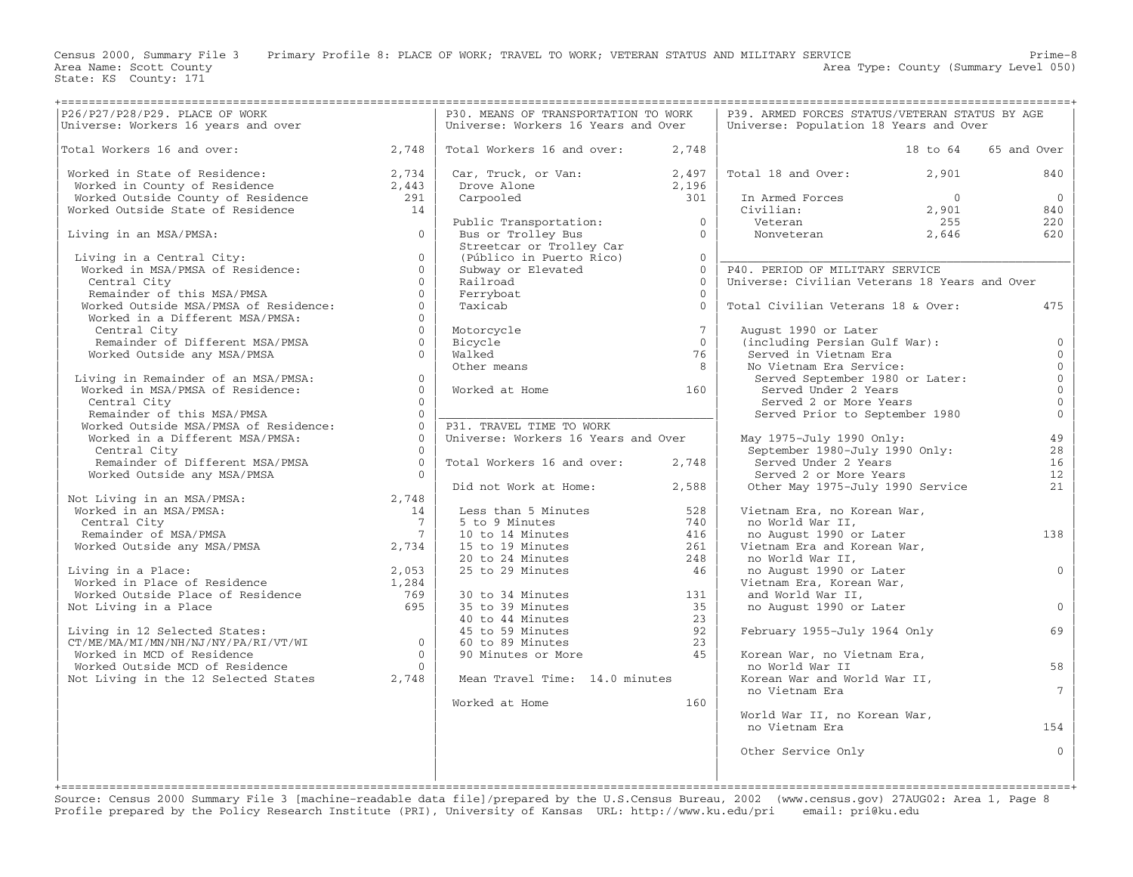State: KS County: 171

Census 2000, Summary File 3 Primary Profile 8: PLACE OF WORK; TRAVEL TO WORK; VETERAN STATUS AND MILITARY SERVICE Prime−8 Area Name: Scott County 1999 and County Area Type: County (Summary Level 050)

|                                                                                                                                                                        |                                        | P30. MEANS OF TRANSPORTATION TO WORK<br>Universe: Workers 16 Years and Over                                                  |                 | P39. ARMED FORCES STATUS/VETERAN STATUS BY AGE<br>Universe: Population 18 Years and Over |                |                 |
|------------------------------------------------------------------------------------------------------------------------------------------------------------------------|----------------------------------------|------------------------------------------------------------------------------------------------------------------------------|-----------------|------------------------------------------------------------------------------------------|----------------|-----------------|
|                                                                                                                                                                        |                                        |                                                                                                                              |                 |                                                                                          |                |                 |
| Total Workers 16 and over: 2,748                                                                                                                                       |                                        | Total Workers 16 and over:                                                                                                   | 2,748           |                                                                                          | 18 to 64       | 65 and Over     |
| Worked in State of Residence:<br>Worked in County of Residence<br>2,443<br>Worked Outside County of Residence<br>291<br>Worked Outside State of Residence<br>291<br>14 |                                        | Car, Truck, or Van: $2,497$<br>Drove Alone $2,196$                                                                           |                 | Total 18 and Over:                                                                       | 2,901          | 840             |
|                                                                                                                                                                        |                                        | bull,<br>Drove Alone<br>Carnooled                                                                                            |                 |                                                                                          |                |                 |
|                                                                                                                                                                        |                                        |                                                                                                                              | 301             |                                                                                          | $\overline{0}$ | $\overline{0}$  |
|                                                                                                                                                                        |                                        |                                                                                                                              |                 | In Armed Forces<br>Civilian:                                                             | 2,901          | 840             |
|                                                                                                                                                                        |                                        | Public Transportation: 0<br>Bus or Trolley Bus 0                                                                             |                 | Veteran<br>Nonveteran                                                                    | 255            | 220             |
| Living in an MSA/PMSA:                                                                                                                                                 | $\cap$                                 |                                                                                                                              |                 |                                                                                          | 2,646          | 620             |
|                                                                                                                                                                        |                                        |                                                                                                                              |                 |                                                                                          |                |                 |
| Living in a Central City:<br>Worked in MSA/PMSA of Residence:                                                                                                          | $\Omega$                               | Streetcar or Trolley Car<br>(Público in Puerto Rico)<br>Subway or Elevated 0                                                 |                 |                                                                                          |                |                 |
|                                                                                                                                                                        | $\Omega$                               |                                                                                                                              |                 | P40. PERIOD OF MILITARY SERVICE                                                          |                |                 |
|                                                                                                                                                                        | $\Omega$                               | Railroad                                                                                                                     | $\Omega$        | Universe: Civilian Veterans 18 Years and Over                                            |                |                 |
| Central City<br>Remainder of this MSA/PMSA<br>Worked Outside MSA/PMSA of Residence:                                                                                    | $\Omega$                               | Ferryboat                                                                                                                    | $\Omega$        |                                                                                          |                |                 |
|                                                                                                                                                                        | $\Omega$                               | Taxicab                                                                                                                      | $\Omega$        | Total Civilian Veterans 18 & Over:                                                       |                | 475             |
| Worked in a Different MSA/PMSA:                                                                                                                                        | $\Omega$                               |                                                                                                                              |                 |                                                                                          |                |                 |
| Central City                                                                                                                                                           | $\Omega$                               | Motorcycle                                                                                                                   | $7\overline{ }$ | August 1990 or Later                                                                     |                |                 |
| Remainder of Different MSA/PMSA                                                                                                                                        | $0-1$                                  | Bicycle                                                                                                                      | $\overline{0}$  | (including Persian Gulf War):                                                            |                | $\mathbf{0}$    |
| Worked Outside any MSA/PMSA                                                                                                                                            | $\Omega$                               | Walked                                                                                                                       | 76              | Served in Vietnam Era                                                                    |                | $\Omega$        |
|                                                                                                                                                                        |                                        | Other means                                                                                                                  | 8               | No Vietnam Era Service:                                                                  |                | $\mathbf{0}$    |
| Living in Remainder of an MSA/PMSA:                                                                                                                                    | $\circ$                                |                                                                                                                              |                 | Served September 1980 or Later:                                                          |                | $\mathbb O$     |
| wing in remainder of an MSA/PMSA:<br>Worked in MSA/PMSA of Residence:<br>Control C'                                                                                    | $\Omega$                               | Worked at Home                                                                                                               | 160             | Served Under 2 Years                                                                     |                | $\mathbf{0}$    |
| Central City                                                                                                                                                           | $\Omega$                               |                                                                                                                              |                 | Served 2 or More Years                                                                   |                | $\mathbb O$     |
|                                                                                                                                                                        | $\Omega$                               |                                                                                                                              |                 | Served 2 or more rears<br>Served Prior to September 1980                                 |                | $\mathbb O$     |
| Remainder of this MSA/PMSA<br>Worked Outside MSA/PMSA of Residence:                                                                                                    | $\Omega$                               | P31. TRAVEL TIME TO WORK                                                                                                     |                 |                                                                                          |                |                 |
| Worked in a Different MSA/PMSA:                                                                                                                                        | $\Omega$                               | Universe: Workers 16 Years and Over                                                                                          |                 | May 1975-July 1990 Only:                                                                 |                | 49              |
| Central City                                                                                                                                                           | $\Omega$                               |                                                                                                                              |                 | September 1980-July 1990 Only:                                                           |                | 28              |
|                                                                                                                                                                        |                                        |                                                                                                                              |                 | Served Under 2 Years                                                                     |                | 16              |
| Remainder of Different MSA/PMSA $0$<br>Worked Outside any MSA/PMSA $0$                                                                                                 |                                        | Total Workers 16 and over:                                                                                                   | 2,748           |                                                                                          |                |                 |
| Worked Outside any MSA/PMSA                                                                                                                                            |                                        |                                                                                                                              |                 | Served 2 or More Years                                                                   |                | 12              |
|                                                                                                                                                                        |                                        | Did not Work at Home: 2,588                                                                                                  |                 | Other May 1975-July 1990 Service                                                         |                | 21              |
| Not Living in an MSA/PMSA: 2,748<br>Worked in an MSA/PMSA: 2,748<br>Central City 7<br>Remainder of MSA/PMSA 7                                                          |                                        | Less than 5 Minutes                                                                                                          | 528             | Vietnam Era, no Korean War,                                                              |                |                 |
|                                                                                                                                                                        | 14                                     |                                                                                                                              |                 |                                                                                          |                |                 |
|                                                                                                                                                                        | $\begin{array}{c} 7 \\ -7 \end{array}$ | 5 to 9 Minutes<br>10 to 14 Minutes<br>15 to 19 Minutes                                                                       | 740<br>416      | no World War II,                                                                         |                | 138             |
|                                                                                                                                                                        |                                        |                                                                                                                              |                 | no August 1990 or Later                                                                  |                |                 |
|                                                                                                                                                                        |                                        |                                                                                                                              | 261             | Vietnam Era and Korean War,                                                              |                |                 |
|                                                                                                                                                                        |                                        | 20 to 24 Minutes<br>20 to 24 Minutes<br>25 to 29 Minutes                                                                     | 248             | no World War II,                                                                         |                |                 |
| Living in a Place:                                                                                                                                                     |                                        |                                                                                                                              | 46              | no August 1990 or Later                                                                  |                | $\mathbf{0}$    |
|                                                                                                                                                                        |                                        |                                                                                                                              |                 | Vietnam Era, Korean War,                                                                 |                |                 |
| Living in a Place:<br>Worked in Place of Residence 1,284<br>Worked Outside Place of Residence 769<br>Not Living in a Place 695                                         |                                        | 30 to 34 Minutes<br>35 to 39 Minutes<br>40 to 44 Minutes<br>45 to 59 Minutes<br>60 to 89 Minutes<br>90 Minutes or More<br>45 | 131             | and World War II,                                                                        |                |                 |
| Not Living in a Place                                                                                                                                                  |                                        |                                                                                                                              |                 | no August 1990 or Later                                                                  |                | $\Omega$        |
| Living in 12 Selected States:<br>CT/ME/MA/MI/MN/NH/NJ/NY/PA/RI/VT/WI<br>CT/ME/MA/MI/MN/NH/NJ/NY/PA/RI/VT/WI<br>0                                                       |                                        |                                                                                                                              |                 |                                                                                          |                |                 |
|                                                                                                                                                                        |                                        |                                                                                                                              |                 | February 1955-July 1964 Only                                                             |                | 69              |
|                                                                                                                                                                        |                                        |                                                                                                                              |                 |                                                                                          |                |                 |
|                                                                                                                                                                        |                                        |                                                                                                                              |                 | Korean War, no Vietnam Era,                                                              |                |                 |
| % worked in MCD of Residence<br>% Worked Outside MCD of Residence<br>Not Living in the 12 Selected States 2,748                                                        |                                        |                                                                                                                              |                 | no World War II                                                                          |                | 58              |
|                                                                                                                                                                        |                                        | Mean Travel Time: 14.0 minutes                                                                                               |                 | Korean War and World War II,                                                             |                |                 |
|                                                                                                                                                                        |                                        |                                                                                                                              |                 | no Vietnam Era                                                                           |                | $7\overline{ }$ |
|                                                                                                                                                                        |                                        | Worked at Home Norman States and The Monday                                                                                  | 160             |                                                                                          |                |                 |
|                                                                                                                                                                        |                                        |                                                                                                                              |                 | World War II, no Korean War,                                                             |                |                 |
|                                                                                                                                                                        |                                        |                                                                                                                              |                 | no Vietnam Era                                                                           |                | 154             |
|                                                                                                                                                                        |                                        |                                                                                                                              |                 |                                                                                          |                |                 |
|                                                                                                                                                                        |                                        |                                                                                                                              |                 | Other Service Only                                                                       |                | $\Omega$        |
|                                                                                                                                                                        |                                        |                                                                                                                              |                 |                                                                                          |                |                 |
|                                                                                                                                                                        |                                        |                                                                                                                              |                 |                                                                                          |                |                 |
|                                                                                                                                                                        |                                        |                                                                                                                              |                 |                                                                                          |                |                 |

Source: Census 2000 Summary File 3 [machine−readable data file]/prepared by the U.S.Census Bureau, 2002 (www.census.gov) 27AUG02: Area 1, Page 8 Profile prepared by the Policy Research Institute (PRI), University of Kansas URL: http://www.ku.edu/pri email: pri@ku.edu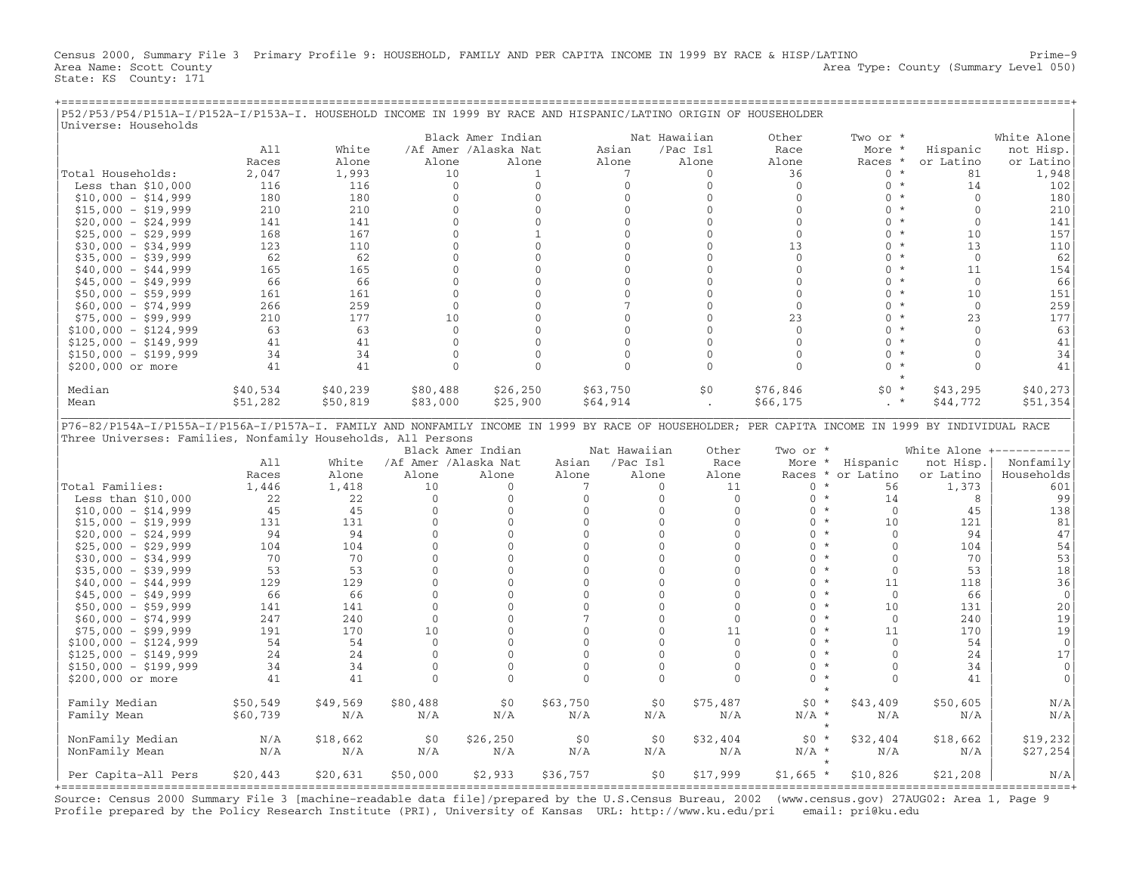Census 2000, Summary File 3 Primary Profile 9: HOUSEHOLD, FAMILY AND PER CAPITA INCOME IN 1999 BY RACE & HISP/LATINO Prime−9 Area Name: Scott County 1999 and County Area Type: County (Summary Level 050) State: KS County: 171

+===================================================================================================================================================+

| P52/P53/P54/P151A-I/P152A-I/P153A-I. HOUSEHOLD INCOME IN 1999 BY RACE AND HISPANIC/LATINO ORIGIN OF HOUSEHOLDER                                                                                                  |            |            |                             |                                           |                |                 |                              |                    |                                     |              |                                        |
|------------------------------------------------------------------------------------------------------------------------------------------------------------------------------------------------------------------|------------|------------|-----------------------------|-------------------------------------------|----------------|-----------------|------------------------------|--------------------|-------------------------------------|--------------|----------------------------------------|
| Universe: Households                                                                                                                                                                                             |            |            |                             |                                           |                |                 |                              |                    |                                     |              |                                        |
|                                                                                                                                                                                                                  | A11        | White      |                             | Black Amer Indian<br>/Af Amer /Alaska Nat |                | Asian           | Nat Hawaiian<br>/Pac Isl     | Other<br>Race      | Two or *<br>More *                  | Hispanic     | White Alone<br>not Hisp.               |
|                                                                                                                                                                                                                  | Races      | Alone      | Alone                       | Alone                                     |                | Alone           | Alone                        | Alone              | Races *                             | or Latino    | or Latino                              |
| Total Households:                                                                                                                                                                                                | 2,047      | 1,993      | 10                          |                                           | $\mathbf{1}$   | 7               | $\Omega$                     | 36                 | $0 *$                               | 81           |                                        |
|                                                                                                                                                                                                                  | 116        | 116        | $\mathbf 0$                 |                                           | $\mathbf{0}$   | $\mathbf{0}$    | $\mathbf 0$                  | $\mathbf 0$        | $0 *$                               | 14           | 1,948<br>102                           |
| Less than $$10,000$<br>$$10,000 - $14,999$                                                                                                                                                                       | 180        | 180        | $\mathbf{0}$                |                                           | $\mathbf{0}$   | $\mathbf{0}$    | $\mathbf{0}$                 | $\mathbf{0}$       | $0 *$                               | $\Omega$     | 180                                    |
|                                                                                                                                                                                                                  | 210        | 210        | $\mathbf 0$                 |                                           | $\mathbf 0$    | $\Omega$        | $\Omega$                     | $\Omega$           | $\Omega$<br>$\star$                 | $\Omega$     | 210                                    |
| $$15,000 - $19,999$                                                                                                                                                                                              |            |            | $\mathbf{0}$                |                                           | $\overline{0}$ | $\Omega$        | $\mathbf{0}$                 | $\mathbf{0}$       | $\Omega$<br>$^{\star}$              | $\Omega$     | 141                                    |
| $$20,000 - $24,999$                                                                                                                                                                                              | 141<br>168 | 141<br>167 | $\Omega$                    |                                           | $\mathbf{1}$   | $\Omega$        | $\Omega$                     | $\mathbf{0}$       | $0 *$                               | 10           | 157                                    |
| $$25,000 - $29,999$                                                                                                                                                                                              |            |            |                             |                                           | $\mathbf{0}$   | $\mathbf{0}$    | $\mathbf{0}$                 |                    | $\circ$<br>$\star$                  | 13           |                                        |
| $$30,000 - $34,999$                                                                                                                                                                                              | 123<br>62  | 110<br>62  | $\mathbf 0$<br>$\mathbf{0}$ |                                           | $\mathbf{0}$   | $\Omega$        | $\mathbf{0}$                 | 13<br>$\mathbf{0}$ | $0 *$                               | $\Omega$     | 110                                    |
| $$35,000 - $39,999$                                                                                                                                                                                              | 165        | 165        | $\mathbf{0}$                |                                           | $\Omega$       | $\Omega$        | $\Omega$                     | $\Omega$           | $0 *$                               | 11           | 62<br>154                              |
| $$40,000 - $44,999$                                                                                                                                                                                              |            |            |                             |                                           |                |                 |                              |                    | $^\star$                            |              |                                        |
| $$45,000 - $49,999$                                                                                                                                                                                              | 66         | 66         | $\mathbf 0$                 |                                           | $\mathbf 0$    | $\mathbf{0}$    | $\mathbf 0$                  | $\mathbf{0}$       | $\mathbf{0}$<br>$\star$             | $\mathbf{0}$ | 66                                     |
| $$50,000 - $59,999$                                                                                                                                                                                              | 161        | 161        | $\mathbf{0}$                |                                           | $\mathbf{0}$   | $\Omega$        | $\mathbf{0}$                 | $\mathbf{0}$       | $\Omega$                            | 10           | 151                                    |
| $$60,000 - $74,999$                                                                                                                                                                                              | 266        | 259        | $\mathbf{0}$                |                                           | $\Omega$       | $7\overline{ }$ | $\Omega$                     | $\Omega$           | $\Omega$<br>$^{\star}$              | $\Omega$     | 259                                    |
| $$75,000 - $99,999$                                                                                                                                                                                              | 210        | 177        | 10                          |                                           | 0              | $\mathbf{0}$    | $\mathbf{0}$                 | 23                 | $\mathbf{0}$<br>$\star$             | 23           | 177                                    |
| $$100,000 - $124,999$                                                                                                                                                                                            | 63         | 63         | $\mathbf{0}$                |                                           | $\Omega$       | $\Omega$        | $\Omega$                     | $\Omega$           | $\Omega$<br>$\star$                 | $\Omega$     | 63                                     |
| $$125,000 - $149,999$                                                                                                                                                                                            | 41         | 41         | $\mathbf{0}$                |                                           | $\overline{0}$ | $\Omega$        | $\mathbf{0}$                 | $\Omega$           | $\Omega$<br>$\star$                 | $\Omega$     | 41                                     |
| $$150,000 - $199,999$                                                                                                                                                                                            | 34         | 34         | $\mathbf 0$                 |                                           | $\mathbf 0$    | $\Omega$        | $\mathbf 0$                  | $\Omega$           | $\Omega$<br>$^\star$                | $\Omega$     | 34                                     |
| \$200,000 or more                                                                                                                                                                                                | 41         | 41         | $\mathbf{0}$                |                                           | $\Omega$       | $\Omega$        | $\mathbf{0}$                 | $\Omega$           | $\Omega$<br>$\star$                 | $\Omega$     | 41                                     |
| Median                                                                                                                                                                                                           | \$40,534   | \$40,239   | \$80,488                    | \$26,250                                  |                | \$63,750        | \$0                          | \$76,846           | \$0<br>$\star$                      | \$43,295     | \$40,273                               |
| Mean                                                                                                                                                                                                             | \$51,282   | \$50,819   | \$83,000                    | \$25,900                                  |                | \$64,914        |                              | \$66, 175          | $\star$                             | \$44,772     | \$51,354                               |
| P76-82/P154A-I/P155A-I/P156A-I/P157A-I. FAMILY AND NONFAMILY INCOME IN 1999 BY RACE OF HOUSEHOLDER; PER CAPITA INCOME IN 1999 BY INDIVIDUAL RACE<br>Three Universes: Families, Nonfamily Households, All Persons |            |            |                             |                                           |                |                 |                              |                    |                                     |              |                                        |
|                                                                                                                                                                                                                  |            |            |                             | Black Amer Indian                         |                | Nat Hawaiian    | Other                        | Two or *           |                                     |              | White Alone +----------                |
|                                                                                                                                                                                                                  | A11        | White      | /Af Amer /Alaska Nat        |                                           | Asian          | /Pac Isl        | Race                         |                    | More * Hispanic                     | not Hisp.    | Nonfamily                              |
|                                                                                                                                                                                                                  | Races      | Alone      | Alone                       | Alone                                     | Alone          | Alone           | Alone                        |                    | Races * or Latino                   | or Latino    | Households                             |
| Total Families:                                                                                                                                                                                                  | 1,446      | 1,418      | 10                          | $\Omega$                                  | 7              |                 | $\Omega$<br>11               | $\Omega$           | $\star$<br>56                       | 1,373        | 601                                    |
| Less than $$10,000$                                                                                                                                                                                              | 22         | 22         | $\Omega$                    | $\mathbf{0}$                              | $\mathbf{0}$   |                 | $\Omega$<br>$\mathbf{0}$     | $0 *$              | 14<br>$^\star$                      | 8            | 99                                     |
| $$10,000 - $14,999$                                                                                                                                                                                              | 45         | 45         | $\mathbf{0}$                | $\mathbf 0$                               | $\mathbf{0}$   |                 | $\mathbf{0}$<br>$\mathbf{0}$ | $\mathbf{0}$       | $\mathbf 0$                         | 45           | 138                                    |
| $$15,000 - $19,999$                                                                                                                                                                                              | 131        | 131        | $\Omega$                    | $\Omega$                                  | $\Omega$       |                 | $\Omega$<br>$\Omega$         | $0 *$              | 10                                  | 121          | 81                                     |
| $$20,000 - $24,999$                                                                                                                                                                                              | 94         | 94         | $\mathbf{0}$                | $\mathbf{0}$                              | $\mathbf{0}$   |                 | $\mathbf{0}$<br>$\mathbf{0}$ | $\mathbf{0}$       | $\star$<br>$\mathbf{0}$             | 94           | 47                                     |
| $$25,000 - $29,999$                                                                                                                                                                                              | 104        | 104        | $\mathbf{0}$                | $\mathbf{0}$                              | $\mathbf{0}$   |                 | $\mathbf{0}$<br>$\mathbf{0}$ | $\Omega$           | $\star$<br>$\mathbf{0}$             | 104          | 54                                     |
| $$30,000 - $34,999$                                                                                                                                                                                              | 70         | 70         | $\Omega$                    | $\Omega$                                  | $\Omega$       |                 | $\Omega$<br>$\Omega$         | $\Omega$           | $\star$<br>$\Omega$                 | 70           | 53                                     |
| $$35,000 - $39,999$                                                                                                                                                                                              | 53         | 53         | $\mathbf 0$                 | $\Omega$                                  | $\Omega$       |                 | $\Omega$<br>$\Omega$         | $\Omega$           | $\star$<br>$\mathbf 0$              | 53           | 18                                     |
| $$40,000 - $44,999$                                                                                                                                                                                              | 129        | 129        | $\mathbf{0}$                | $\mathbf{0}$                              | $\mathbf{0}$   |                 | $\Omega$<br>$\mathbf{0}$     | $\Omega$           | $\star$<br>11                       | 118          | 36                                     |
| $$45,000 - $49,999$                                                                                                                                                                                              | 66         | 66         | $\Omega$                    | $\Omega$                                  | $\Omega$       |                 | $\Omega$<br>$\Omega$         | $\Omega$           | $\star$<br>$\Omega$                 | 66           | $\mathbf{0}$                           |
| $$50,000 - $59,999$                                                                                                                                                                                              | 141        | 141        | $\mathbf 0$                 | $\mathbf{0}$                              | $\mathbf{0}$   |                 | $\mathbf{0}$<br>$\mathbf{0}$ | $\mathbf{0}$       | $\star$<br>10                       | 131          | 20                                     |
| $$60,000 - $74,999$                                                                                                                                                                                              | 247        | 240        | $\mathbf{0}$                | $\mathbf{0}$                              | 7              |                 | $\mathbf{0}$<br>$\mathbf{0}$ | $\Omega$           | $\star$<br>$\mathbf{0}$             | 240          | 19                                     |
| $$75,000 - $99,999$                                                                                                                                                                                              | 191        | 170        | 10                          | $\Omega$                                  | $\Omega$       |                 | $\Omega$<br>11               | $\Omega$           | $\star$<br>11                       | 170          | 19                                     |
| $$100,000 - $124,999$                                                                                                                                                                                            | 54         | 54         | $\mathbf 0$                 | 0                                         | $\mathbf{0}$   |                 | $\mathbf{0}$<br>$\mathbf 0$  | $\mathbf{0}$       | $\star$<br>$\mathbf{0}$             | 54           | $\overline{0}$                         |
| $$125,000 - $149,999$                                                                                                                                                                                            | 24         | 24         | $\mathbf{0}$                | $\mathbf{0}$                              | $\mathbf{0}$   |                 | $\mathbf{0}$<br>$\mathbf{0}$ | $\mathbf{0}$       | $^\star$<br>$\mathbf{0}$            | 24           | 17                                     |
| $$150,000 - $199,999$                                                                                                                                                                                            | 34         | 34         | $\Omega$                    | $\Omega$                                  | $\Omega$       |                 | $\Omega$<br>$\Omega$         | $\Omega$           | $\star$<br>$\Omega$                 | 34           | $\mathbf{0}$                           |
| \$200,000 or more                                                                                                                                                                                                | 41         | 41         | $\mathbf{0}$                | $\mathbf{0}$                              | $\mathbf{0}$   |                 | $\mathbf{0}$<br>$\mathbf{0}$ | $\mathbf{0}$       | $\star$<br>$\mathbf{0}$<br>$^\star$ | 41           | $\mathbf{0}$                           |
| Family Median                                                                                                                                                                                                    | \$50,549   | \$49,569   | \$80,488                    | \$0                                       | \$63,750       |                 | \$0\$<br>\$75,487            | $$0 *$             | \$43,409                            | \$50,605     | N/A                                    |
| Family Mean                                                                                                                                                                                                      | \$60,739   | N/A        | N/A                         | N/A                                       | N/A            |                 | N/A<br>N/A                   | $N/A$ *            | N/A                                 | N/A          | N/A                                    |
|                                                                                                                                                                                                                  |            |            |                             |                                           |                |                 |                              |                    | $\star$                             |              |                                        |
| NonFamily Median                                                                                                                                                                                                 | N/A        | \$18,662   | \$0                         | \$26, 250                                 | \$0            |                 | \$0<br>\$32,404              | $$0*$              | \$32,404                            | \$18,662     | \$19,232                               |
| NonFamily Mean                                                                                                                                                                                                   | N/A        | N/A        | N/A                         | N/A                                       | N/A            |                 | N/A<br>N/A                   | $N/A$ *            | N/A                                 | N/A          | \$27,254                               |
| Per Capita-All Pers                                                                                                                                                                                              | \$20,443   | \$20,631   | \$50,000                    | \$2,933                                   | \$36,757       |                 | \$0<br>\$17,999              | $$1,665$ *         | \$10,826                            | \$21,208     | N/A<br>. ============================= |

Source: Census 2000 Summary File 3 [machine−readable data file]/prepared by the U.S.Census Bureau, 2002 (www.census.gov) 27AUG02: Area 1, Page 9 Profile prepared by the Policy Research Institute (PRI), University of Kansas URL: http://www.ku.edu/pri email: pri@ku.edu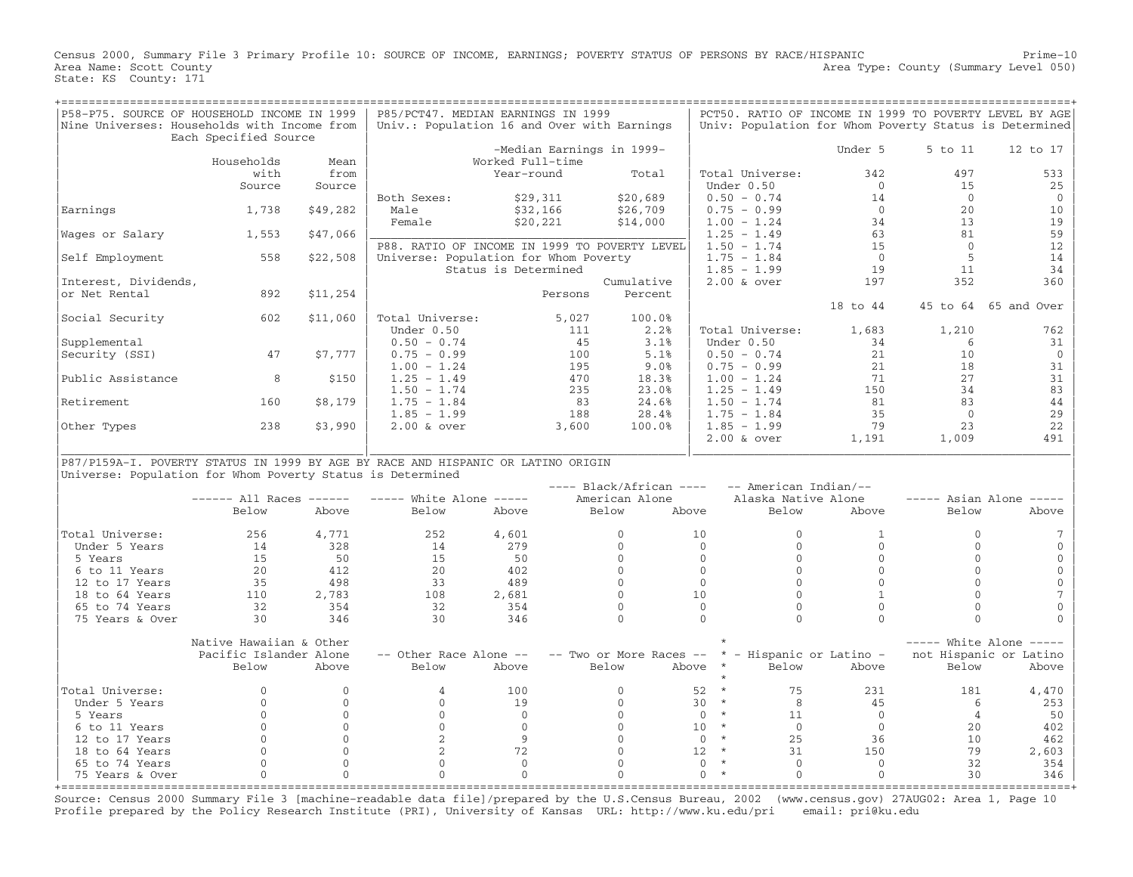Census 2000, Summary File 3 Primary Profile 10: SOURCE OF INCOME, EARNINGS; POVERTY STATUS OF PERSONS BY RACE/HISPANIC Prime−10 Area Type: County (Summary Level 050) Area Name: Scott County<br>State: KS County: 171

| P58-P75. SOURCE OF HOUSEHOLD INCOME IN 1999                                      |                         |              | P85/PCT47. MEDIAN EARNINGS IN 1999            |                      |         |                           |                         |                          |              |                | PCT50. RATIO OF INCOME IN 1999 TO POVERTY LEVEL BY AGE |
|----------------------------------------------------------------------------------|-------------------------|--------------|-----------------------------------------------|----------------------|---------|---------------------------|-------------------------|--------------------------|--------------|----------------|--------------------------------------------------------|
| Nine Universes: Households with Income from                                      |                         |              | Univ.: Population 16 and Over with Earnings   |                      |         |                           |                         |                          |              |                | Univ: Population for Whom Poverty Status is Determined |
|                                                                                  | Each Specified Source   |              |                                               |                      |         |                           |                         |                          |              |                |                                                        |
|                                                                                  |                         |              |                                               |                      |         | -Median Earnings in 1999- |                         |                          | Under 5      | 5 to 11        | 12 to 17                                               |
|                                                                                  | Households              | Mean         |                                               | Worked Full-time     |         |                           |                         |                          |              |                |                                                        |
|                                                                                  | with                    | from         |                                               | Year-round           |         | Total                     |                         | Total Universe:          | 342          | 497            | 533                                                    |
|                                                                                  | Source                  | Source       |                                               |                      |         |                           |                         | Under 0.50               | $\Omega$     | 15             | 25                                                     |
|                                                                                  |                         |              | Both Sexes:                                   | \$29,311             |         | \$20,689                  |                         | $0.50 - 0.74$            | 14           | $\Omega$       | $\mathbf{0}$                                           |
| Earnings                                                                         | 1,738                   | \$49,282     | Male                                          | \$32,166             |         | \$26,709                  |                         | $0.75 - 0.99$            | $\Omega$     | 20             | 10                                                     |
|                                                                                  |                         |              | Female                                        | \$20,221             |         | \$14,000                  |                         | $1.00 - 1.24$            | 34           | 13             | 19                                                     |
| Wages or Salary                                                                  | 1,553                   | \$47,066     |                                               |                      |         |                           |                         | $1.25 - 1.49$            | 63           | 81             | 59                                                     |
|                                                                                  |                         |              | P88. RATIO OF INCOME IN 1999 TO POVERTY LEVEL |                      |         |                           |                         | $1.50 - 1.74$            | 15           | $\Omega$       | 12                                                     |
| Self Employment                                                                  | 558                     | \$22,508     | Universe: Population for Whom Poverty         |                      |         |                           |                         | $1.75 - 1.84$            | $\Omega$     | $\overline{5}$ | 14                                                     |
|                                                                                  |                         |              |                                               | Status is Determined |         |                           |                         | $1.85 - 1.99$            | 19           | 11             | 34                                                     |
| Interest, Dividends,                                                             |                         |              |                                               |                      |         | Cumulative                |                         | $2.00$ & over            | 197          | 352            | 360                                                    |
| or Net Rental                                                                    | 892                     | \$11,254     |                                               |                      | Persons | Percent                   |                         |                          |              |                |                                                        |
|                                                                                  |                         |              |                                               |                      |         |                           |                         |                          | 18 to 44     |                | 45 to 64 65 and Over                                   |
| Social Security                                                                  | 602                     | \$11,060     | Total Universe:                               |                      | 5,027   | 100.0%                    |                         |                          |              |                |                                                        |
|                                                                                  |                         |              | Under 0.50                                    |                      | 111     | 2.2%                      |                         | Total Universe:          | 1,683        | 1,210          | 762                                                    |
| Supplemental                                                                     |                         |              | $0.50 - 0.74$                                 |                      | 45      | 3.1%                      |                         | Under 0.50               | 34           | 6              | 31                                                     |
|                                                                                  | 47                      | \$7,777      | $0.75 - 0.99$                                 |                      | 100     | 5.1%                      |                         | $0.50 - 0.74$            | 21           | 10             | $\mathbf{0}$                                           |
| Security (SSI)                                                                   |                         |              |                                               |                      |         |                           |                         |                          |              | 18             |                                                        |
|                                                                                  |                         |              | $1.00 - 1.24$                                 |                      | 195     | 9.0%                      |                         | $0.75 - 0.99$            | 21           |                | 31                                                     |
| Public Assistance                                                                | 8                       | \$150        | $1.25 - 1.49$                                 |                      | 470     | 18.3%                     |                         | $1.00 - 1.24$            | 71           | 27             | 31                                                     |
|                                                                                  |                         |              | $1.50 - 1.74$                                 |                      | 235     | 23.0%                     |                         | $1.25 - 1.49$            | 150          | 34             | 83                                                     |
| Retirement                                                                       | 160                     | \$8,179      | $1.75 - 1.84$                                 |                      | 83      | 24.6%                     |                         | $1.50 - 1.74$            | 81           | 83             | 44                                                     |
|                                                                                  |                         |              | $1.85 - 1.99$                                 |                      | 188     | 28.4%                     |                         | $1.75 - 1.84$            | 35           | $\overline{0}$ | 29                                                     |
| Other Types                                                                      | 238                     | \$3,990      | $2.00$ & over                                 |                      | 3,600   | 100.0%                    |                         | $1.85 - 1.99$            | 79           | 23             | 22                                                     |
|                                                                                  |                         |              |                                               |                      |         |                           |                         | $2.00$ & over            | 1,191        | 1,009          | 491                                                    |
|                                                                                  |                         |              |                                               |                      |         |                           |                         |                          |              |                |                                                        |
| P87/P159A-I. POVERTY STATUS IN 1999 BY AGE BY RACE AND HISPANIC OR LATINO ORIGIN |                         |              |                                               |                      |         |                           |                         |                          |              |                |                                                        |
| Universe: Population for Whom Poverty Status is Determined                       |                         |              |                                               |                      |         |                           |                         |                          |              |                |                                                        |
|                                                                                  |                         |              |                                               |                      |         | $---$ Black/African $---$ |                         | -- American Indian/--    |              |                |                                                        |
|                                                                                  | $----$ All Races $----$ |              | $---$ White Alone $---$                       |                      |         | American Alone            |                         | Alaska Native Alone      |              |                | $--- A {\bf s}$ Asian Alone $---$                      |
|                                                                                  | Below                   | Above        | Below                                         | Above                |         | Below                     | Above                   | Below                    | Above        | Below          | Above                                                  |
|                                                                                  |                         |              |                                               |                      |         |                           |                         |                          |              |                |                                                        |
| Total Universe:                                                                  | 256                     | 4,771        | 252                                           | 4,601                |         | $\mathbf{0}$              | 10                      | $\Omega$                 | $\mathbf{1}$ | $\Omega$       |                                                        |
| Under 5 Years                                                                    | 14                      | 328          | 14                                            | 279                  |         | $\Omega$                  | $\Omega$                | $\Omega$                 | $\cap$       | $\cap$         | $\mathbf 0$                                            |
| 5 Years                                                                          | 15                      | 50           | 15                                            | 50                   |         | $\Omega$                  | $\Omega$                | $\Omega$                 | $\Omega$     | $\Omega$       | $\mathbf{0}$                                           |
| 6 to 11 Years                                                                    | 20                      | 412          | 20                                            | 402                  |         | $\Omega$                  | $\Omega$                | $\Omega$                 | $\Omega$     | $\Omega$       | $\mathbf{0}$                                           |
| 12 to 17 Years                                                                   | 35                      | 498          | 33                                            | 489                  |         | $\Omega$                  | $\overline{0}$          | $\Omega$                 | $\Omega$     | $\bigcap$      | $\mathbf{0}$                                           |
| 18 to 64 Years                                                                   | 110                     | 2,783        | 108                                           | 2,681                |         | $\mathbf{0}$              | 10                      | $\Omega$                 | $\mathbf{1}$ | $\Omega$       | 7                                                      |
| 65 to 74 Years                                                                   | 32                      | 354          | 32                                            | 354                  |         | $\Omega$                  | $\Omega$                | $\Omega$                 | $\Omega$     | $\Omega$       | $\Omega$                                               |
| 75 Years & Over                                                                  | 30                      | 346          | 30                                            | 346                  |         | $\Omega$                  | $\Omega$                | $\Omega$                 | $\Omega$     | $\Omega$       | $\Omega$                                               |
|                                                                                  |                         |              |                                               |                      |         |                           |                         |                          |              |                |                                                        |
|                                                                                  | Native Hawaiian & Other |              |                                               |                      |         |                           |                         |                          |              |                | $---$ White Alone $---$                                |
|                                                                                  |                         |              | -- Other Race Alone --                        |                      |         | -- Two or More Races --   |                         | * - Hispanic or Latino - |              |                | not Hispanic or Latino                                 |
|                                                                                  | Pacific Islander Alone  |              |                                               |                      |         |                           | $\star$                 |                          |              |                |                                                        |
|                                                                                  | Below                   | Above        | Below                                         | Above                |         | Below                     | Above                   | Below                    | Above        | Below          | Above                                                  |
|                                                                                  |                         |              |                                               |                      |         |                           | $\star$                 |                          |              |                |                                                        |
| Total Universe:                                                                  | $\Omega$                | $\Omega$     | $\overline{4}$                                | 100                  |         | $\Omega$                  | 52                      | 75                       | 231          | 181            | 4,470                                                  |
| Under 5 Years                                                                    | $\Omega$                | $\Omega$     | $\Omega$                                      | 19                   |         | $\Omega$                  | 30<br>$\star$           | 8                        | 45           | 6              | 253                                                    |
| 5 Years                                                                          | $\Omega$                | $\Omega$     | $\Omega$                                      | $\Omega$             |         | $\Omega$                  | $\star$<br>$\mathbf{0}$ | 11                       | $\Omega$     | $\overline{4}$ | 50                                                     |
| 6 to 11 Years                                                                    | $\mathbf{0}$            | $\mathbf{0}$ | $\mathbf{0}$                                  | $\Omega$             |         | $\Omega$                  | 10<br>$\star$           | $\overline{0}$           | $\mathbf{0}$ | 20             | 402                                                    |
| 12 to 17 Years                                                                   | $\Omega$                | $\Omega$     | 2                                             | 9                    |         | $\Omega$                  | $\star$<br>$\Omega$     | 2.5                      | 36           | 10             | 462                                                    |
| 18 to 64 Years                                                                   | $\mathbf{0}$            | $\mathbf{0}$ | 2                                             | 72                   |         | $\Omega$                  | $\star$<br>12           | 31                       | 150          | 79             | 2,603                                                  |
| 65 to 74 Years                                                                   | $\Omega$                | $\Omega$     | $\Omega$                                      | $\bigcap$            |         | $\Omega$                  | $\star$<br>$\Omega$     | $\bigcap$                | $\Omega$     | 32             | 354                                                    |
| 75 Years & Over                                                                  | $\mathbf{0}$            | $\Omega$     | $\Omega$                                      | $\Omega$             |         | $\Omega$                  | $\star$<br>$\Omega$     | $\Omega$                 | $\Omega$     | 30             | 346                                                    |
| +================                                                                |                         |              |                                               |                      |         |                           |                         |                          |              |                |                                                        |

Source: Census 2000 Summary File 3 [machine−readable data file]/prepared by the U.S.Census Bureau, 2002 (www.census.gov) 27AUG02: Area 1, Page 10 Profile prepared by the Policy Research Institute (PRI), University of Kansas URL: http://www.ku.edu/pri email: pri@ku.edu